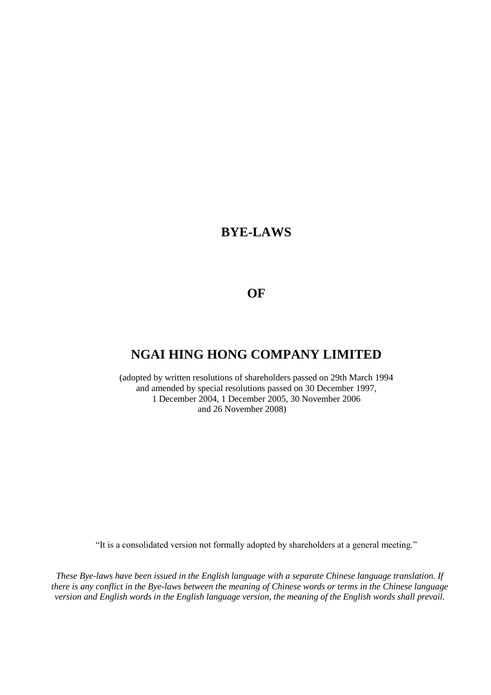# **BYE-LAWS**

## **OF**

# **NGAI HING HONG COMPANY LIMITED**

(adopted by written resolutions of shareholders passed on 29th March 1994 and amended by special resolutions passed on 30 December 1997, 1 December 2004, 1 December 2005, 30 November 2006 and 26 November 2008)

"It is a consolidated version not formally adopted by shareholders at a general meeting."

*These Bye-laws have been issued in the English language with a separate Chinese language translation. If there is any conflict in the Bye-laws between the meaning of Chinese words or terms in the Chinese language version and English words in the English language version, the meaning of the English words shall prevail.*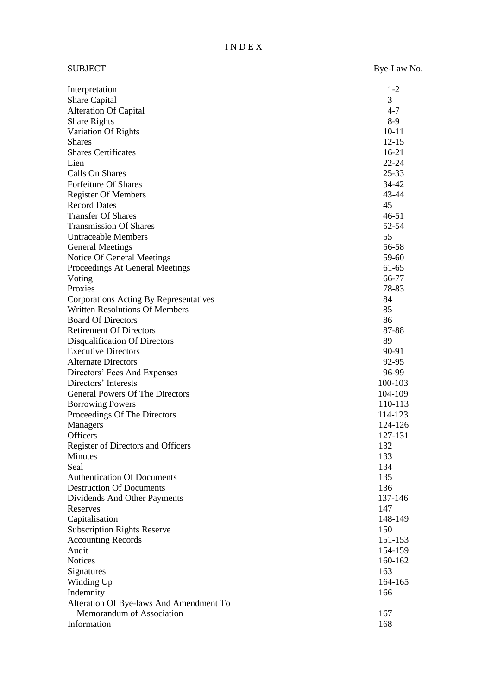## I N D E X

| <b>SUBJECT</b>                                              | Bye-Law No. |
|-------------------------------------------------------------|-------------|
| Interpretation                                              | $1-2$       |
| Share Capital                                               | 3           |
| <b>Alteration Of Capital</b>                                | $4 - 7$     |
| <b>Share Rights</b>                                         | 8-9         |
| Variation Of Rights                                         | $10 - 11$   |
| <b>Shares</b>                                               | $12 - 15$   |
| <b>Shares Certificates</b>                                  | $16-21$     |
| Lien                                                        | $22 - 24$   |
| Calls On Shares                                             | $25 - 33$   |
| Forfeiture Of Shares                                        | 34-42       |
| <b>Register Of Members</b>                                  | 43-44       |
| <b>Record Dates</b>                                         | 45          |
| <b>Transfer Of Shares</b>                                   | $46 - 51$   |
| <b>Transmission Of Shares</b>                               | 52-54       |
| <b>Untraceable Members</b>                                  | 55          |
| <b>General Meetings</b>                                     | 56-58       |
| Notice Of General Meetings                                  | 59-60       |
| Proceedings At General Meetings                             | 61-65       |
| Voting                                                      | 66-77       |
| Proxies                                                     | 78-83       |
| Corporations Acting By Representatives                      | 84          |
| <b>Written Resolutions Of Members</b>                       | 85          |
| <b>Board Of Directors</b>                                   | 86          |
| <b>Retirement Of Directors</b>                              | 87-88       |
| Disqualification Of Directors<br><b>Executive Directors</b> | 89<br>90-91 |
| <b>Alternate Directors</b>                                  | 92-95       |
| Directors' Fees And Expenses                                | 96-99       |
| Directors' Interests                                        | 100-103     |
| <b>General Powers Of The Directors</b>                      | 104-109     |
| <b>Borrowing Powers</b>                                     | 110-113     |
| Proceedings Of The Directors                                | 114-123     |
| Managers                                                    | 124-126     |
| Officers                                                    | 127-131     |
| Register of Directors and Officers                          | 132         |
| Minutes                                                     | 133         |
| Seal                                                        | 134         |
| <b>Authentication Of Documents</b>                          | 135         |
| <b>Destruction Of Documents</b>                             | 136         |
| Dividends And Other Payments                                | 137-146     |
| Reserves                                                    | 147         |
| Capitalisation                                              | 148-149     |
| <b>Subscription Rights Reserve</b>                          | 150         |
| <b>Accounting Records</b>                                   | 151-153     |
| Audit                                                       | 154-159     |
| <b>Notices</b>                                              | 160-162     |
| Signatures                                                  | 163         |
| Winding Up                                                  | 164-165     |
| Indemnity                                                   | 166         |
| Alteration Of Bye-laws And Amendment To                     |             |
| Memorandum of Association                                   | 167         |
| Information                                                 | 168         |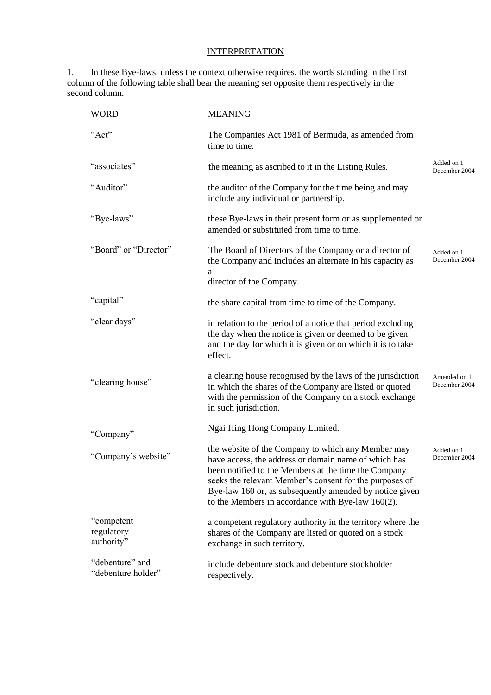## **INTERPRETATION**

1. In these Bye-laws, unless the context otherwise requires, the words standing in the first column of the following table shall bear the meaning set opposite them respectively in the second column.

| <b>WORD</b>                            | <b>MEANING</b>                                                                                                                                                                                                                                                                                                                                |                               |
|----------------------------------------|-----------------------------------------------------------------------------------------------------------------------------------------------------------------------------------------------------------------------------------------------------------------------------------------------------------------------------------------------|-------------------------------|
| "Act"                                  | The Companies Act 1981 of Bermuda, as amended from<br>time to time.                                                                                                                                                                                                                                                                           |                               |
| "associates"                           | the meaning as ascribed to it in the Listing Rules.                                                                                                                                                                                                                                                                                           | Added on 1<br>December 2004   |
| "Auditor"                              | the auditor of the Company for the time being and may<br>include any individual or partnership.                                                                                                                                                                                                                                               |                               |
| "Bye-laws"                             | these Bye-laws in their present form or as supplemented or<br>amended or substituted from time to time.                                                                                                                                                                                                                                       |                               |
| "Board" or "Director"                  | The Board of Directors of the Company or a director of<br>the Company and includes an alternate in his capacity as<br>a<br>director of the Company.                                                                                                                                                                                           | Added on 1<br>December 2004   |
| "capital"                              | the share capital from time to time of the Company.                                                                                                                                                                                                                                                                                           |                               |
| "clear days"                           | in relation to the period of a notice that period excluding<br>the day when the notice is given or deemed to be given<br>and the day for which it is given or on which it is to take<br>effect.                                                                                                                                               |                               |
| "clearing house"                       | a clearing house recognised by the laws of the jurisdiction<br>in which the shares of the Company are listed or quoted<br>with the permission of the Company on a stock exchange<br>in such jurisdiction.                                                                                                                                     | Amended on 1<br>December 2004 |
| "Company"                              | Ngai Hing Hong Company Limited.                                                                                                                                                                                                                                                                                                               |                               |
| "Company's website"                    | the website of the Company to which any Member may<br>have access, the address or domain name of which has<br>been notified to the Members at the time the Company<br>seeks the relevant Member's consent for the purposes of<br>Bye-law 160 or, as subsequently amended by notice given<br>to the Members in accordance with Bye-law 160(2). | Added on 1<br>December 2004   |
| "competent<br>regulatory<br>authority" | a competent regulatory authority in the territory where the<br>shares of the Company are listed or quoted on a stock<br>exchange in such territory.                                                                                                                                                                                           |                               |
| "debenture" and<br>"debenture holder"  | include debenture stock and debenture stockholder<br>respectively.                                                                                                                                                                                                                                                                            |                               |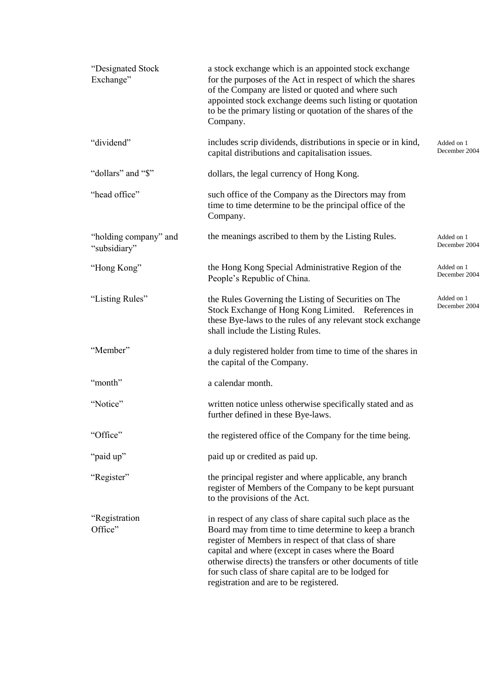| "Designated Stock<br>Exchange"        | a stock exchange which is an appointed stock exchange<br>for the purposes of the Act in respect of which the shares<br>of the Company are listed or quoted and where such<br>appointed stock exchange deems such listing or quotation<br>to be the primary listing or quotation of the shares of the<br>Company.                                                                                      |                             |
|---------------------------------------|-------------------------------------------------------------------------------------------------------------------------------------------------------------------------------------------------------------------------------------------------------------------------------------------------------------------------------------------------------------------------------------------------------|-----------------------------|
| "dividend"                            | includes scrip dividends, distributions in specie or in kind,<br>capital distributions and capitalisation issues.                                                                                                                                                                                                                                                                                     | Added on 1<br>December 2004 |
| "dollars" and "\$"                    | dollars, the legal currency of Hong Kong.                                                                                                                                                                                                                                                                                                                                                             |                             |
| "head office"                         | such office of the Company as the Directors may from<br>time to time determine to be the principal office of the<br>Company.                                                                                                                                                                                                                                                                          |                             |
| "holding company" and<br>"subsidiary" | the meanings ascribed to them by the Listing Rules.                                                                                                                                                                                                                                                                                                                                                   | Added on 1<br>December 2004 |
| "Hong Kong"                           | the Hong Kong Special Administrative Region of the<br>People's Republic of China.                                                                                                                                                                                                                                                                                                                     | Added on 1<br>December 2004 |
| "Listing Rules"                       | the Rules Governing the Listing of Securities on The<br>Stock Exchange of Hong Kong Limited. References in<br>these Bye-laws to the rules of any relevant stock exchange<br>shall include the Listing Rules.                                                                                                                                                                                          | Added on 1<br>December 2004 |
| "Member"                              | a duly registered holder from time to time of the shares in<br>the capital of the Company.                                                                                                                                                                                                                                                                                                            |                             |
| "month"                               | a calendar month.                                                                                                                                                                                                                                                                                                                                                                                     |                             |
| "Notice"                              | written notice unless otherwise specifically stated and as<br>further defined in these Bye-laws.                                                                                                                                                                                                                                                                                                      |                             |
| "Office"                              | the registered office of the Company for the time being.                                                                                                                                                                                                                                                                                                                                              |                             |
| "paid up"                             | paid up or credited as paid up.                                                                                                                                                                                                                                                                                                                                                                       |                             |
| "Register"                            | the principal register and where applicable, any branch<br>register of Members of the Company to be kept pursuant<br>to the provisions of the Act.                                                                                                                                                                                                                                                    |                             |
| "Registration<br>Office"              | in respect of any class of share capital such place as the<br>Board may from time to time determine to keep a branch<br>register of Members in respect of that class of share<br>capital and where (except in cases where the Board<br>otherwise directs) the transfers or other documents of title<br>for such class of share capital are to be lodged for<br>registration and are to be registered. |                             |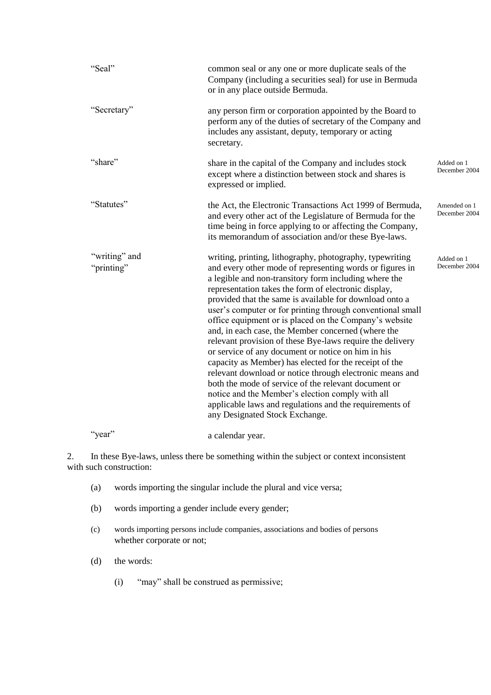| "Seal"                      | common seal or any one or more duplicate seals of the<br>Company (including a securities seal) for use in Bermuda<br>or in any place outside Bermuda.                                                                                                                                                                                                                                                                                                                                                                                                                                                                                                                                                                                                                                                                                                                                                                            |                               |
|-----------------------------|----------------------------------------------------------------------------------------------------------------------------------------------------------------------------------------------------------------------------------------------------------------------------------------------------------------------------------------------------------------------------------------------------------------------------------------------------------------------------------------------------------------------------------------------------------------------------------------------------------------------------------------------------------------------------------------------------------------------------------------------------------------------------------------------------------------------------------------------------------------------------------------------------------------------------------|-------------------------------|
| "Secretary"                 | any person firm or corporation appointed by the Board to<br>perform any of the duties of secretary of the Company and<br>includes any assistant, deputy, temporary or acting<br>secretary.                                                                                                                                                                                                                                                                                                                                                                                                                                                                                                                                                                                                                                                                                                                                       |                               |
| "share"                     | share in the capital of the Company and includes stock<br>except where a distinction between stock and shares is<br>expressed or implied.                                                                                                                                                                                                                                                                                                                                                                                                                                                                                                                                                                                                                                                                                                                                                                                        | Added on 1<br>December 2004   |
| "Statutes"                  | the Act, the Electronic Transactions Act 1999 of Bermuda,<br>and every other act of the Legislature of Bermuda for the<br>time being in force applying to or affecting the Company,<br>its memorandum of association and/or these Bye-laws.                                                                                                                                                                                                                                                                                                                                                                                                                                                                                                                                                                                                                                                                                      | Amended on 1<br>December 2004 |
| "writing" and<br>"printing" | writing, printing, lithography, photography, typewriting<br>and every other mode of representing words or figures in<br>a legible and non-transitory form including where the<br>representation takes the form of electronic display,<br>provided that the same is available for download onto a<br>user's computer or for printing through conventional small<br>office equipment or is placed on the Company's website<br>and, in each case, the Member concerned (where the<br>relevant provision of these Bye-laws require the delivery<br>or service of any document or notice on him in his<br>capacity as Member) has elected for the receipt of the<br>relevant download or notice through electronic means and<br>both the mode of service of the relevant document or<br>notice and the Member's election comply with all<br>applicable laws and regulations and the requirements of<br>any Designated Stock Exchange. | Added on 1<br>December 2004   |
| "year"                      | a calendar year.                                                                                                                                                                                                                                                                                                                                                                                                                                                                                                                                                                                                                                                                                                                                                                                                                                                                                                                 |                               |

2. In these Bye-laws, unless there be something within the subject or context inconsistent with such construction:

- (a) words importing the singular include the plural and vice versa;
- (b) words importing a gender include every gender;
- (c) words importing persons include companies, associations and bodies of persons whether corporate or not;
- (d) the words:
	- (i) "may" shall be construed as permissive;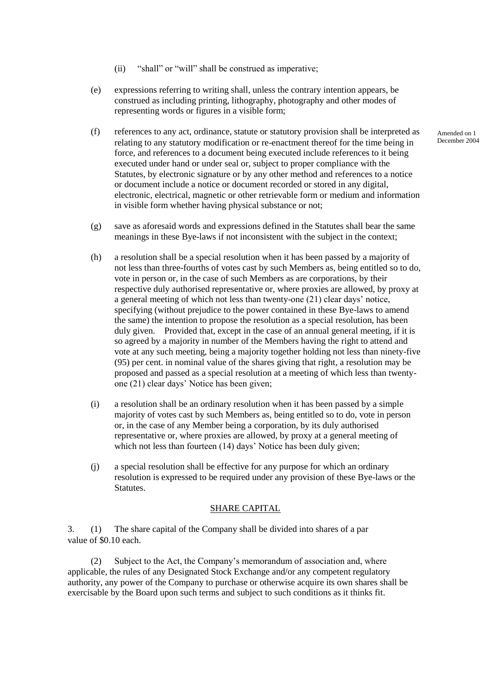- (ii) "shall" or "will" shall be construed as imperative;
- (e) expressions referring to writing shall, unless the contrary intention appears, be construed as including printing, lithography, photography and other modes of representing words or figures in a visible form;
- (f) references to any act, ordinance, statute or statutory provision shall be interpreted as relating to any statutory modification or re-enactment thereof for the time being in force, and references to a document being executed include references to it being executed under hand or under seal or, subject to proper compliance with the Statutes, by electronic signature or by any other method and references to a notice or document include a notice or document recorded or stored in any digital, electronic, electrical, magnetic or other retrievable form or medium and information in visible form whether having physical substance or not;
- (g) save as aforesaid words and expressions defined in the Statutes shall bear the same meanings in these Bye-laws if not inconsistent with the subject in the context;
- (h) a resolution shall be a special resolution when it has been passed by a majority of not less than three-fourths of votes cast by such Members as, being entitled so to do, vote in person or, in the case of such Members as are corporations, by their respective duly authorised representative or, where proxies are allowed, by proxy at a general meeting of which not less than twenty-one (21) clear days' notice, specifying (without prejudice to the power contained in these Bye-laws to amend the same) the intention to propose the resolution as a special resolution, has been duly given. Provided that, except in the case of an annual general meeting, if it is so agreed by a majority in number of the Members having the right to attend and vote at any such meeting, being a majority together holding not less than ninety-five (95) per cent. in nominal value of the shares giving that right, a resolution may be proposed and passed as a special resolution at a meeting of which less than twentyone (21) clear days' Notice has been given;
- (i) a resolution shall be an ordinary resolution when it has been passed by a simple majority of votes cast by such Members as, being entitled so to do, vote in person or, in the case of any Member being a corporation, by its duly authorised representative or, where proxies are allowed, by proxy at a general meeting of which not less than fourteen (14) days' Notice has been duly given;
- (j) a special resolution shall be effective for any purpose for which an ordinary resolution is expressed to be required under any provision of these Bye-laws or the Statutes.

## SHARE CAPITAL

3. (1) The share capital of the Company shall be divided into shares of a par value of \$0.10 each.

(2) Subject to the Act, the Company's memorandum of association and, where applicable, the rules of any Designated Stock Exchange and/or any competent regulatory authority, any power of the Company to purchase or otherwise acquire its own shares shall be exercisable by the Board upon such terms and subject to such conditions as it thinks fit.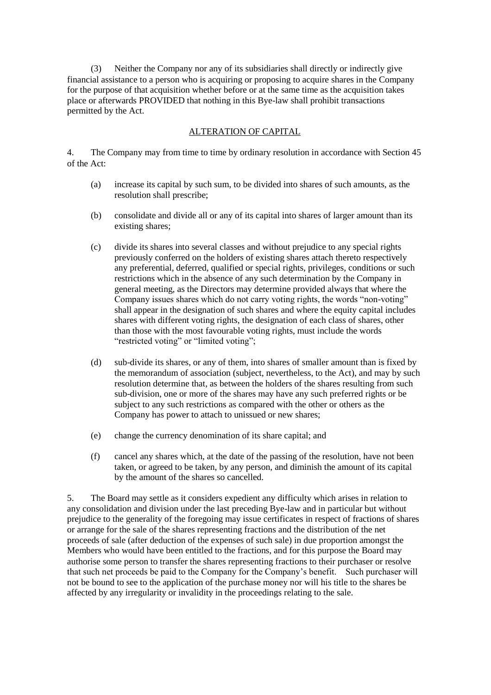(3) Neither the Company nor any of its subsidiaries shall directly or indirectly give financial assistance to a person who is acquiring or proposing to acquire shares in the Company for the purpose of that acquisition whether before or at the same time as the acquisition takes place or afterwards PROVIDED that nothing in this Bye-law shall prohibit transactions permitted by the Act.

## ALTERATION OF CAPITAL

4. The Company may from time to time by ordinary resolution in accordance with Section 45 of the Act:

- (a) increase its capital by such sum, to be divided into shares of such amounts, as the resolution shall prescribe;
- (b) consolidate and divide all or any of its capital into shares of larger amount than its existing shares;
- (c) divide its shares into several classes and without prejudice to any special rights previously conferred on the holders of existing shares attach thereto respectively any preferential, deferred, qualified or special rights, privileges, conditions or such restrictions which in the absence of any such determination by the Company in general meeting, as the Directors may determine provided always that where the Company issues shares which do not carry voting rights, the words "non-voting" shall appear in the designation of such shares and where the equity capital includes shares with different voting rights, the designation of each class of shares, other than those with the most favourable voting rights, must include the words "restricted voting" or "limited voting";
- (d) sub-divide its shares, or any of them, into shares of smaller amount than is fixed by the memorandum of association (subject, nevertheless, to the Act), and may by such resolution determine that, as between the holders of the shares resulting from such sub-division, one or more of the shares may have any such preferred rights or be subject to any such restrictions as compared with the other or others as the Company has power to attach to unissued or new shares;
- (e) change the currency denomination of its share capital; and
- (f) cancel any shares which, at the date of the passing of the resolution, have not been taken, or agreed to be taken, by any person, and diminish the amount of its capital by the amount of the shares so cancelled.

5. The Board may settle as it considers expedient any difficulty which arises in relation to any consolidation and division under the last preceding Bye-law and in particular but without prejudice to the generality of the foregoing may issue certificates in respect of fractions of shares or arrange for the sale of the shares representing fractions and the distribution of the net proceeds of sale (after deduction of the expenses of such sale) in due proportion amongst the Members who would have been entitled to the fractions, and for this purpose the Board may authorise some person to transfer the shares representing fractions to their purchaser or resolve that such net proceeds be paid to the Company for the Company's benefit. Such purchaser will not be bound to see to the application of the purchase money nor will his title to the shares be affected by any irregularity or invalidity in the proceedings relating to the sale.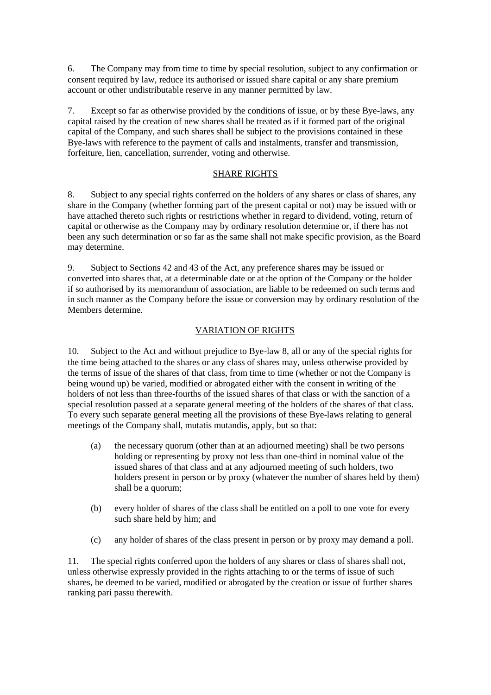6. The Company may from time to time by special resolution, subject to any confirmation or consent required by law, reduce its authorised or issued share capital or any share premium account or other undistributable reserve in any manner permitted by law.

7. Except so far as otherwise provided by the conditions of issue, or by these Bye-laws, any capital raised by the creation of new shares shall be treated as if it formed part of the original capital of the Company, and such shares shall be subject to the provisions contained in these Bye-laws with reference to the payment of calls and instalments, transfer and transmission, forfeiture, lien, cancellation, surrender, voting and otherwise.

## SHARE RIGHTS

8. Subject to any special rights conferred on the holders of any shares or class of shares, any share in the Company (whether forming part of the present capital or not) may be issued with or have attached thereto such rights or restrictions whether in regard to dividend, voting, return of capital or otherwise as the Company may by ordinary resolution determine or, if there has not been any such determination or so far as the same shall not make specific provision, as the Board may determine.

9. Subject to Sections 42 and 43 of the Act, any preference shares may be issued or converted into shares that, at a determinable date or at the option of the Company or the holder if so authorised by its memorandum of association, are liable to be redeemed on such terms and in such manner as the Company before the issue or conversion may by ordinary resolution of the Members determine.

## VARIATION OF RIGHTS

10. Subject to the Act and without prejudice to Bye-law 8, all or any of the special rights for the time being attached to the shares or any class of shares may, unless otherwise provided by the terms of issue of the shares of that class, from time to time (whether or not the Company is being wound up) be varied, modified or abrogated either with the consent in writing of the holders of not less than three-fourths of the issued shares of that class or with the sanction of a special resolution passed at a separate general meeting of the holders of the shares of that class. To every such separate general meeting all the provisions of these Bye-laws relating to general meetings of the Company shall, mutatis mutandis, apply, but so that:

- (a) the necessary quorum (other than at an adjourned meeting) shall be two persons holding or representing by proxy not less than one-third in nominal value of the issued shares of that class and at any adjourned meeting of such holders, two holders present in person or by proxy (whatever the number of shares held by them) shall be a quorum;
- (b) every holder of shares of the class shall be entitled on a poll to one vote for every such share held by him; and
- (c) any holder of shares of the class present in person or by proxy may demand a poll.

11. The special rights conferred upon the holders of any shares or class of shares shall not, unless otherwise expressly provided in the rights attaching to or the terms of issue of such shares, be deemed to be varied, modified or abrogated by the creation or issue of further shares ranking pari passu therewith.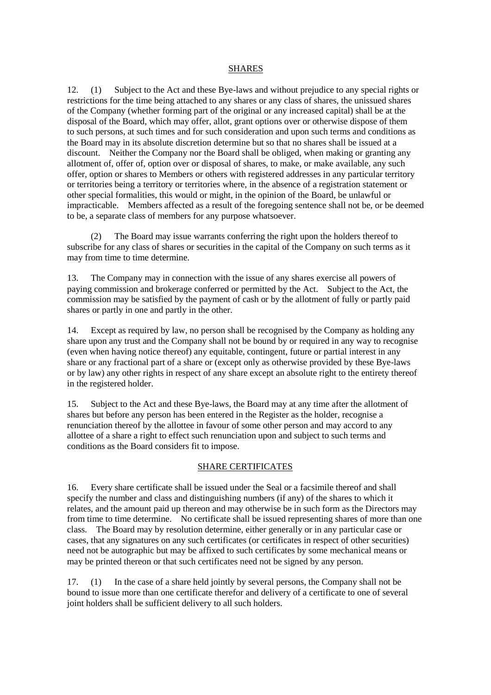#### SHARES

12. (1) Subject to the Act and these Bye-laws and without prejudice to any special rights or restrictions for the time being attached to any shares or any class of shares, the unissued shares of the Company (whether forming part of the original or any increased capital) shall be at the disposal of the Board, which may offer, allot, grant options over or otherwise dispose of them to such persons, at such times and for such consideration and upon such terms and conditions as the Board may in its absolute discretion determine but so that no shares shall be issued at a discount. Neither the Company nor the Board shall be obliged, when making or granting any allotment of, offer of, option over or disposal of shares, to make, or make available, any such offer, option or shares to Members or others with registered addresses in any particular territory or territories being a territory or territories where, in the absence of a registration statement or other special formalities, this would or might, in the opinion of the Board, be unlawful or impracticable. Members affected as a result of the foregoing sentence shall not be, or be deemed to be, a separate class of members for any purpose whatsoever.

The Board may issue warrants conferring the right upon the holders thereof to subscribe for any class of shares or securities in the capital of the Company on such terms as it may from time to time determine.

13. The Company may in connection with the issue of any shares exercise all powers of paying commission and brokerage conferred or permitted by the Act. Subject to the Act, the commission may be satisfied by the payment of cash or by the allotment of fully or partly paid shares or partly in one and partly in the other.

14. Except as required by law, no person shall be recognised by the Company as holding any share upon any trust and the Company shall not be bound by or required in any way to recognise (even when having notice thereof) any equitable, contingent, future or partial interest in any share or any fractional part of a share or (except only as otherwise provided by these Bye-laws or by law) any other rights in respect of any share except an absolute right to the entirety thereof in the registered holder.

15. Subject to the Act and these Bye-laws, the Board may at any time after the allotment of shares but before any person has been entered in the Register as the holder, recognise a renunciation thereof by the allottee in favour of some other person and may accord to any allottee of a share a right to effect such renunciation upon and subject to such terms and conditions as the Board considers fit to impose.

## SHARE CERTIFICATES

16. Every share certificate shall be issued under the Seal or a facsimile thereof and shall specify the number and class and distinguishing numbers (if any) of the shares to which it relates, and the amount paid up thereon and may otherwise be in such form as the Directors may from time to time determine. No certificate shall be issued representing shares of more than one class. The Board may by resolution determine, either generally or in any particular case or cases, that any signatures on any such certificates (or certificates in respect of other securities) need not be autographic but may be affixed to such certificates by some mechanical means or may be printed thereon or that such certificates need not be signed by any person.

17. (1) In the case of a share held jointly by several persons, the Company shall not be bound to issue more than one certificate therefor and delivery of a certificate to one of several joint holders shall be sufficient delivery to all such holders.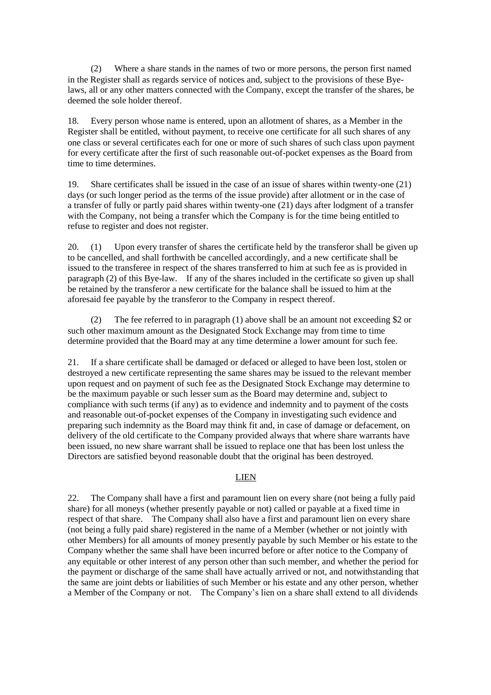(2) Where a share stands in the names of two or more persons, the person first named in the Register shall as regards service of notices and, subject to the provisions of these Byelaws, all or any other matters connected with the Company, except the transfer of the shares, be deemed the sole holder thereof.

18. Every person whose name is entered, upon an allotment of shares, as a Member in the Register shall be entitled, without payment, to receive one certificate for all such shares of any one class or several certificates each for one or more of such shares of such class upon payment for every certificate after the first of such reasonable out-of-pocket expenses as the Board from time to time determines.

19. Share certificates shall be issued in the case of an issue of shares within twenty-one (21) days (or such longer period as the terms of the issue provide) after allotment or in the case of a transfer of fully or partly paid shares within twenty-one (21) days after lodgment of a transfer with the Company, not being a transfer which the Company is for the time being entitled to refuse to register and does not register.

20. (1) Upon every transfer of shares the certificate held by the transferor shall be given up to be cancelled, and shall forthwith be cancelled accordingly, and a new certificate shall be issued to the transferee in respect of the shares transferred to him at such fee as is provided in paragraph (2) of this Bye-law. If any of the shares included in the certificate so given up shall be retained by the transferor a new certificate for the balance shall be issued to him at the aforesaid fee payable by the transferor to the Company in respect thereof.

(2) The fee referred to in paragraph (1) above shall be an amount not exceeding \$2 or such other maximum amount as the Designated Stock Exchange may from time to time determine provided that the Board may at any time determine a lower amount for such fee.

21. If a share certificate shall be damaged or defaced or alleged to have been lost, stolen or destroyed a new certificate representing the same shares may be issued to the relevant member upon request and on payment of such fee as the Designated Stock Exchange may determine to be the maximum payable or such lesser sum as the Board may determine and, subject to compliance with such terms (if any) as to evidence and indemnity and to payment of the costs and reasonable out-of-pocket expenses of the Company in investigating such evidence and preparing such indemnity as the Board may think fit and, in case of damage or defacement, on delivery of the old certificate to the Company provided always that where share warrants have been issued, no new share warrant shall be issued to replace one that has been lost unless the Directors are satisfied beyond reasonable doubt that the original has been destroyed.

## LIEN

22. The Company shall have a first and paramount lien on every share (not being a fully paid share) for all moneys (whether presently payable or not) called or payable at a fixed time in respect of that share. The Company shall also have a first and paramount lien on every share (not being a fully paid share) registered in the name of a Member (whether or not jointly with other Members) for all amounts of money presently payable by such Member or his estate to the Company whether the same shall have been incurred before or after notice to the Company of any equitable or other interest of any person other than such member, and whether the period for the payment or discharge of the same shall have actually arrived or not, and notwithstanding that the same are joint debts or liabilities of such Member or his estate and any other person, whether a Member of the Company or not. The Company's lien on a share shall extend to all dividends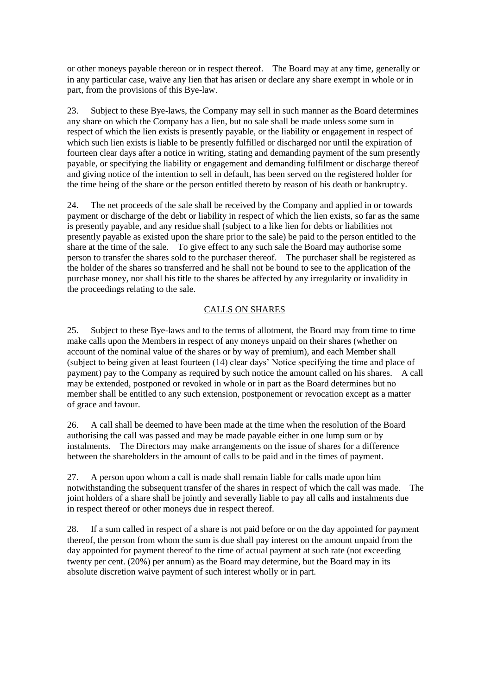or other moneys payable thereon or in respect thereof. The Board may at any time, generally or in any particular case, waive any lien that has arisen or declare any share exempt in whole or in part, from the provisions of this Bye-law.

23. Subject to these Bye-laws, the Company may sell in such manner as the Board determines any share on which the Company has a lien, but no sale shall be made unless some sum in respect of which the lien exists is presently payable, or the liability or engagement in respect of which such lien exists is liable to be presently fulfilled or discharged nor until the expiration of fourteen clear days after a notice in writing, stating and demanding payment of the sum presently payable, or specifying the liability or engagement and demanding fulfilment or discharge thereof and giving notice of the intention to sell in default, has been served on the registered holder for the time being of the share or the person entitled thereto by reason of his death or bankruptcy.

24. The net proceeds of the sale shall be received by the Company and applied in or towards payment or discharge of the debt or liability in respect of which the lien exists, so far as the same is presently payable, and any residue shall (subject to a like lien for debts or liabilities not presently payable as existed upon the share prior to the sale) be paid to the person entitled to the share at the time of the sale. To give effect to any such sale the Board may authorise some person to transfer the shares sold to the purchaser thereof. The purchaser shall be registered as the holder of the shares so transferred and he shall not be bound to see to the application of the purchase money, nor shall his title to the shares be affected by any irregularity or invalidity in the proceedings relating to the sale.

## CALLS ON SHARES

25. Subject to these Bye-laws and to the terms of allotment, the Board may from time to time make calls upon the Members in respect of any moneys unpaid on their shares (whether on account of the nominal value of the shares or by way of premium), and each Member shall (subject to being given at least fourteen (14) clear days' Notice specifying the time and place of payment) pay to the Company as required by such notice the amount called on his shares. A call may be extended, postponed or revoked in whole or in part as the Board determines but no member shall be entitled to any such extension, postponement or revocation except as a matter of grace and favour.

26. A call shall be deemed to have been made at the time when the resolution of the Board authorising the call was passed and may be made payable either in one lump sum or by instalments. The Directors may make arrangements on the issue of shares for a difference between the shareholders in the amount of calls to be paid and in the times of payment.

27. A person upon whom a call is made shall remain liable for calls made upon him notwithstanding the subsequent transfer of the shares in respect of which the call was made. The joint holders of a share shall be jointly and severally liable to pay all calls and instalments due in respect thereof or other moneys due in respect thereof.

28. If a sum called in respect of a share is not paid before or on the day appointed for payment thereof, the person from whom the sum is due shall pay interest on the amount unpaid from the day appointed for payment thereof to the time of actual payment at such rate (not exceeding twenty per cent. (20%) per annum) as the Board may determine, but the Board may in its absolute discretion waive payment of such interest wholly or in part.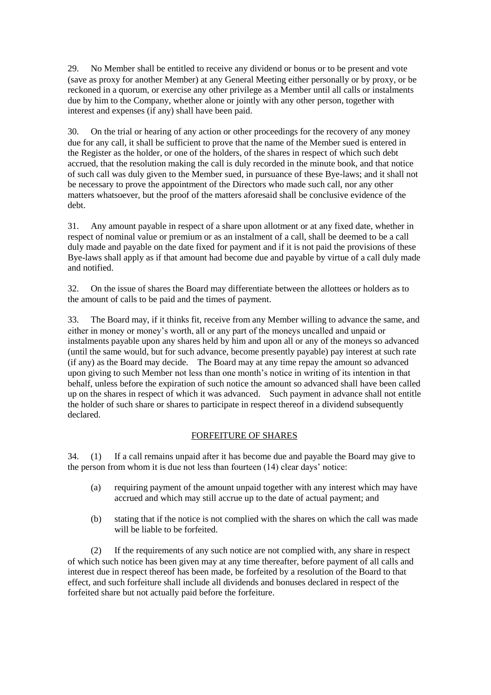29. No Member shall be entitled to receive any dividend or bonus or to be present and vote (save as proxy for another Member) at any General Meeting either personally or by proxy, or be reckoned in a quorum, or exercise any other privilege as a Member until all calls or instalments due by him to the Company, whether alone or jointly with any other person, together with interest and expenses (if any) shall have been paid.

30. On the trial or hearing of any action or other proceedings for the recovery of any money due for any call, it shall be sufficient to prove that the name of the Member sued is entered in the Register as the holder, or one of the holders, of the shares in respect of which such debt accrued, that the resolution making the call is duly recorded in the minute book, and that notice of such call was duly given to the Member sued, in pursuance of these Bye-laws; and it shall not be necessary to prove the appointment of the Directors who made such call, nor any other matters whatsoever, but the proof of the matters aforesaid shall be conclusive evidence of the debt.

31. Any amount payable in respect of a share upon allotment or at any fixed date, whether in respect of nominal value or premium or as an instalment of a call, shall be deemed to be a call duly made and payable on the date fixed for payment and if it is not paid the provisions of these Bye-laws shall apply as if that amount had become due and payable by virtue of a call duly made and notified.

32. On the issue of shares the Board may differentiate between the allottees or holders as to the amount of calls to be paid and the times of payment.

33. The Board may, if it thinks fit, receive from any Member willing to advance the same, and either in money or money's worth, all or any part of the moneys uncalled and unpaid or instalments payable upon any shares held by him and upon all or any of the moneys so advanced (until the same would, but for such advance, become presently payable) pay interest at such rate (if any) as the Board may decide. The Board may at any time repay the amount so advanced upon giving to such Member not less than one month's notice in writing of its intention in that behalf, unless before the expiration of such notice the amount so advanced shall have been called up on the shares in respect of which it was advanced. Such payment in advance shall not entitle the holder of such share or shares to participate in respect thereof in a dividend subsequently declared.

## FORFEITURE OF SHARES

34. (1) If a call remains unpaid after it has become due and payable the Board may give to the person from whom it is due not less than fourteen (14) clear days' notice:

- (a) requiring payment of the amount unpaid together with any interest which may have accrued and which may still accrue up to the date of actual payment; and
- (b) stating that if the notice is not complied with the shares on which the call was made will be liable to be forfeited.

(2) If the requirements of any such notice are not complied with, any share in respect of which such notice has been given may at any time thereafter, before payment of all calls and interest due in respect thereof has been made, be forfeited by a resolution of the Board to that effect, and such forfeiture shall include all dividends and bonuses declared in respect of the forfeited share but not actually paid before the forfeiture.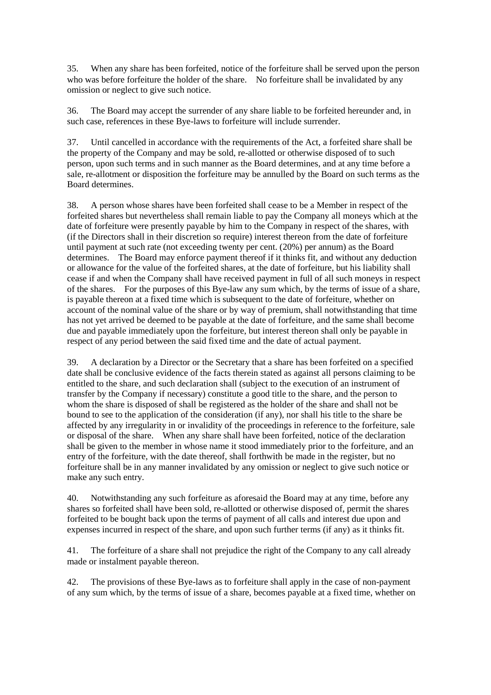35. When any share has been forfeited, notice of the forfeiture shall be served upon the person who was before forfeiture the holder of the share. No forfeiture shall be invalidated by any omission or neglect to give such notice.

36. The Board may accept the surrender of any share liable to be forfeited hereunder and, in such case, references in these Bye-laws to forfeiture will include surrender.

37. Until cancelled in accordance with the requirements of the Act, a forfeited share shall be the property of the Company and may be sold, re-allotted or otherwise disposed of to such person, upon such terms and in such manner as the Board determines, and at any time before a sale, re-allotment or disposition the forfeiture may be annulled by the Board on such terms as the Board determines.

38. A person whose shares have been forfeited shall cease to be a Member in respect of the forfeited shares but nevertheless shall remain liable to pay the Company all moneys which at the date of forfeiture were presently payable by him to the Company in respect of the shares, with (if the Directors shall in their discretion so require) interest thereon from the date of forfeiture until payment at such rate (not exceeding twenty per cent. (20%) per annum) as the Board determines. The Board may enforce payment thereof if it thinks fit, and without any deduction or allowance for the value of the forfeited shares, at the date of forfeiture, but his liability shall cease if and when the Company shall have received payment in full of all such moneys in respect of the shares. For the purposes of this Bye-law any sum which, by the terms of issue of a share, is payable thereon at a fixed time which is subsequent to the date of forfeiture, whether on account of the nominal value of the share or by way of premium, shall notwithstanding that time has not yet arrived be deemed to be payable at the date of forfeiture, and the same shall become due and payable immediately upon the forfeiture, but interest thereon shall only be payable in respect of any period between the said fixed time and the date of actual payment.

39. A declaration by a Director or the Secretary that a share has been forfeited on a specified date shall be conclusive evidence of the facts therein stated as against all persons claiming to be entitled to the share, and such declaration shall (subject to the execution of an instrument of transfer by the Company if necessary) constitute a good title to the share, and the person to whom the share is disposed of shall be registered as the holder of the share and shall not be bound to see to the application of the consideration (if any), nor shall his title to the share be affected by any irregularity in or invalidity of the proceedings in reference to the forfeiture, sale or disposal of the share. When any share shall have been forfeited, notice of the declaration shall be given to the member in whose name it stood immediately prior to the forfeiture, and an entry of the forfeiture, with the date thereof, shall forthwith be made in the register, but no forfeiture shall be in any manner invalidated by any omission or neglect to give such notice or make any such entry.

40. Notwithstanding any such forfeiture as aforesaid the Board may at any time, before any shares so forfeited shall have been sold, re-allotted or otherwise disposed of, permit the shares forfeited to be bought back upon the terms of payment of all calls and interest due upon and expenses incurred in respect of the share, and upon such further terms (if any) as it thinks fit.

41. The forfeiture of a share shall not prejudice the right of the Company to any call already made or instalment payable thereon.

42. The provisions of these Bye-laws as to forfeiture shall apply in the case of non-payment of any sum which, by the terms of issue of a share, becomes payable at a fixed time, whether on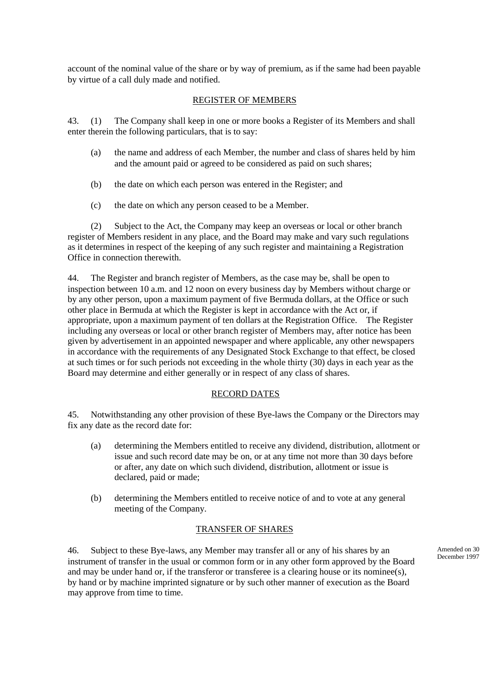account of the nominal value of the share or by way of premium, as if the same had been payable by virtue of a call duly made and notified.

## REGISTER OF MEMBERS

43. (1) The Company shall keep in one or more books a Register of its Members and shall enter therein the following particulars, that is to say:

- (a) the name and address of each Member, the number and class of shares held by him and the amount paid or agreed to be considered as paid on such shares;
- (b) the date on which each person was entered in the Register; and
- (c) the date on which any person ceased to be a Member.

(2) Subject to the Act, the Company may keep an overseas or local or other branch register of Members resident in any place, and the Board may make and vary such regulations as it determines in respect of the keeping of any such register and maintaining a Registration Office in connection therewith.

44. The Register and branch register of Members, as the case may be, shall be open to inspection between 10 a.m. and 12 noon on every business day by Members without charge or by any other person, upon a maximum payment of five Bermuda dollars, at the Office or such other place in Bermuda at which the Register is kept in accordance with the Act or, if appropriate, upon a maximum payment of ten dollars at the Registration Office. The Register including any overseas or local or other branch register of Members may, after notice has been given by advertisement in an appointed newspaper and where applicable, any other newspapers in accordance with the requirements of any Designated Stock Exchange to that effect, be closed at such times or for such periods not exceeding in the whole thirty (30) days in each year as the Board may determine and either generally or in respect of any class of shares.

## RECORD DATES

45. Notwithstanding any other provision of these Bye-laws the Company or the Directors may fix any date as the record date for:

- (a) determining the Members entitled to receive any dividend, distribution, allotment or issue and such record date may be on, or at any time not more than 30 days before or after, any date on which such dividend, distribution, allotment or issue is declared, paid or made;
- (b) determining the Members entitled to receive notice of and to vote at any general meeting of the Company.

## TRANSFER OF SHARES

46. Subject to these Bye-laws, any Member may transfer all or any of his shares by an instrument of transfer in the usual or common form or in any other form approved by the Board and may be under hand or, if the transferor or transferee is a clearing house or its nominee(s), by hand or by machine imprinted signature or by such other manner of execution as the Board may approve from time to time.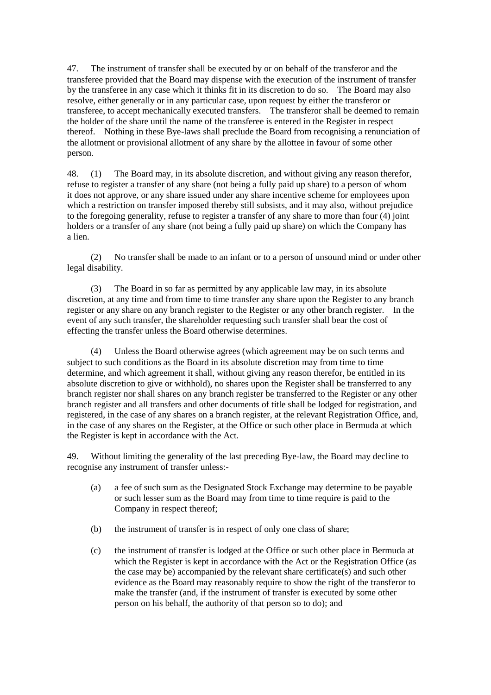47. The instrument of transfer shall be executed by or on behalf of the transferor and the transferee provided that the Board may dispense with the execution of the instrument of transfer by the transferee in any case which it thinks fit in its discretion to do so. The Board may also resolve, either generally or in any particular case, upon request by either the transferor or transferee, to accept mechanically executed transfers. The transferor shall be deemed to remain the holder of the share until the name of the transferee is entered in the Register in respect thereof. Nothing in these Bye-laws shall preclude the Board from recognising a renunciation of the allotment or provisional allotment of any share by the allottee in favour of some other person.

48. (1) The Board may, in its absolute discretion, and without giving any reason therefor, refuse to register a transfer of any share (not being a fully paid up share) to a person of whom it does not approve, or any share issued under any share incentive scheme for employees upon which a restriction on transfer imposed thereby still subsists, and it may also, without prejudice to the foregoing generality, refuse to register a transfer of any share to more than four (4) joint holders or a transfer of any share (not being a fully paid up share) on which the Company has a lien.

(2) No transfer shall be made to an infant or to a person of unsound mind or under other legal disability.

(3) The Board in so far as permitted by any applicable law may, in its absolute discretion, at any time and from time to time transfer any share upon the Register to any branch register or any share on any branch register to the Register or any other branch register. In the event of any such transfer, the shareholder requesting such transfer shall bear the cost of effecting the transfer unless the Board otherwise determines.

(4) Unless the Board otherwise agrees (which agreement may be on such terms and subject to such conditions as the Board in its absolute discretion may from time to time determine, and which agreement it shall, without giving any reason therefor, be entitled in its absolute discretion to give or withhold), no shares upon the Register shall be transferred to any branch register nor shall shares on any branch register be transferred to the Register or any other branch register and all transfers and other documents of title shall be lodged for registration, and registered, in the case of any shares on a branch register, at the relevant Registration Office, and, in the case of any shares on the Register, at the Office or such other place in Bermuda at which the Register is kept in accordance with the Act.

49. Without limiting the generality of the last preceding Bye-law, the Board may decline to recognise any instrument of transfer unless:-

- (a) a fee of such sum as the Designated Stock Exchange may determine to be payable or such lesser sum as the Board may from time to time require is paid to the Company in respect thereof;
- (b) the instrument of transfer is in respect of only one class of share;
- (c) the instrument of transfer is lodged at the Office or such other place in Bermuda at which the Register is kept in accordance with the Act or the Registration Office (as the case may be) accompanied by the relevant share certificate(s) and such other evidence as the Board may reasonably require to show the right of the transferor to make the transfer (and, if the instrument of transfer is executed by some other person on his behalf, the authority of that person so to do); and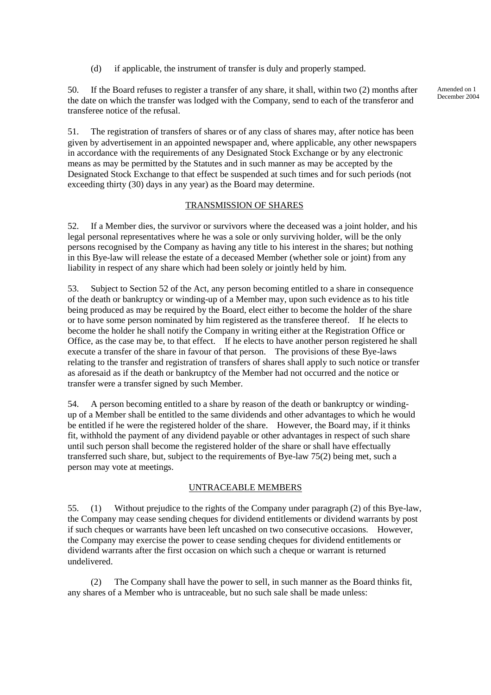(d) if applicable, the instrument of transfer is duly and properly stamped.

50. If the Board refuses to register a transfer of any share, it shall, within two (2) months after the date on which the transfer was lodged with the Company, send to each of the transferor and transferee notice of the refusal.

51. The registration of transfers of shares or of any class of shares may, after notice has been given by advertisement in an appointed newspaper and, where applicable, any other newspapers in accordance with the requirements of any Designated Stock Exchange or by any electronic means as may be permitted by the Statutes and in such manner as may be accepted by the Designated Stock Exchange to that effect be suspended at such times and for such periods (not exceeding thirty (30) days in any year) as the Board may determine.

## TRANSMISSION OF SHARES

52. If a Member dies, the survivor or survivors where the deceased was a joint holder, and his legal personal representatives where he was a sole or only surviving holder, will be the only persons recognised by the Company as having any title to his interest in the shares; but nothing in this Bye-law will release the estate of a deceased Member (whether sole or joint) from any liability in respect of any share which had been solely or jointly held by him.

53. Subject to Section 52 of the Act, any person becoming entitled to a share in consequence of the death or bankruptcy or winding-up of a Member may, upon such evidence as to his title being produced as may be required by the Board, elect either to become the holder of the share or to have some person nominated by him registered as the transferee thereof. If he elects to become the holder he shall notify the Company in writing either at the Registration Office or Office, as the case may be, to that effect. If he elects to have another person registered he shall execute a transfer of the share in favour of that person. The provisions of these Bye-laws relating to the transfer and registration of transfers of shares shall apply to such notice or transfer as aforesaid as if the death or bankruptcy of the Member had not occurred and the notice or transfer were a transfer signed by such Member.

54. A person becoming entitled to a share by reason of the death or bankruptcy or windingup of a Member shall be entitled to the same dividends and other advantages to which he would be entitled if he were the registered holder of the share. However, the Board may, if it thinks fit, withhold the payment of any dividend payable or other advantages in respect of such share until such person shall become the registered holder of the share or shall have effectually transferred such share, but, subject to the requirements of Bye-law 75(2) being met, such a person may vote at meetings.

## UNTRACEABLE MEMBERS

55. (1) Without prejudice to the rights of the Company under paragraph (2) of this Bye-law, the Company may cease sending cheques for dividend entitlements or dividend warrants by post if such cheques or warrants have been left uncashed on two consecutive occasions. However, the Company may exercise the power to cease sending cheques for dividend entitlements or dividend warrants after the first occasion on which such a cheque or warrant is returned undelivered.

(2) The Company shall have the power to sell, in such manner as the Board thinks fit, any shares of a Member who is untraceable, but no such sale shall be made unless: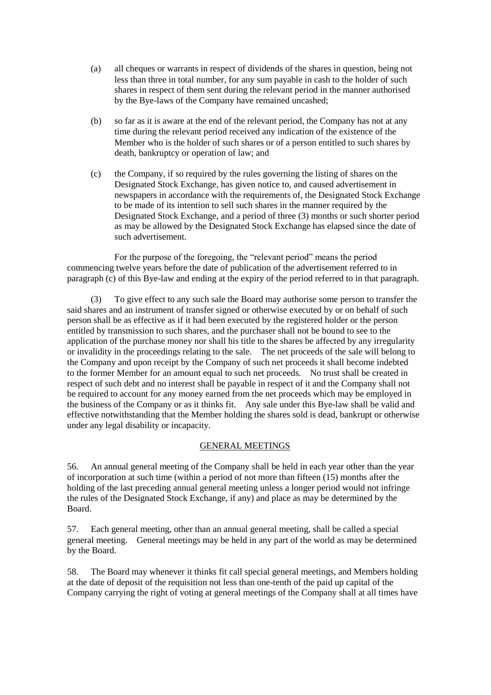- (a) all cheques or warrants in respect of dividends of the shares in question, being not less than three in total number, for any sum payable in cash to the holder of such shares in respect of them sent during the relevant period in the manner authorised by the Bye-laws of the Company have remained uncashed;
- (b) so far as it is aware at the end of the relevant period, the Company has not at any time during the relevant period received any indication of the existence of the Member who is the holder of such shares or of a person entitled to such shares by death, bankruptcy or operation of law; and
- (c) the Company, if so required by the rules governing the listing of shares on the Designated Stock Exchange, has given notice to, and caused advertisement in newspapers in accordance with the requirements of, the Designated Stock Exchange to be made of its intention to sell such shares in the manner required by the Designated Stock Exchange, and a period of three (3) months or such shorter period as may be allowed by the Designated Stock Exchange has elapsed since the date of such advertisement.

For the purpose of the foregoing, the "relevant period" means the period commencing twelve years before the date of publication of the advertisement referred to in paragraph (c) of this Bye-law and ending at the expiry of the period referred to in that paragraph.

(3) To give effect to any such sale the Board may authorise some person to transfer the said shares and an instrument of transfer signed or otherwise executed by or on behalf of such person shall be as effective as if it had been executed by the registered holder or the person entitled by transmission to such shares, and the purchaser shall not be bound to see to the application of the purchase money nor shall his title to the shares be affected by any irregularity or invalidity in the proceedings relating to the sale. The net proceeds of the sale will belong to the Company and upon receipt by the Company of such net proceeds it shall become indebted to the former Member for an amount equal to such net proceeds. No trust shall be created in respect of such debt and no interest shall be payable in respect of it and the Company shall not be required to account for any money earned from the net proceeds which may be employed in the business of the Company or as it thinks fit. Any sale under this Bye-law shall be valid and effective notwithstanding that the Member holding the shares sold is dead, bankrupt or otherwise under any legal disability or incapacity.

## GENERAL MEETINGS

56. An annual general meeting of the Company shall be held in each year other than the year of incorporation at such time (within a period of not more than fifteen (15) months after the holding of the last preceding annual general meeting unless a longer period would not infringe the rules of the Designated Stock Exchange, if any) and place as may be determined by the Board.

57. Each general meeting, other than an annual general meeting, shall be called a special general meeting. General meetings may be held in any part of the world as may be determined by the Board.

58. The Board may whenever it thinks fit call special general meetings, and Members holding at the date of deposit of the requisition not less than one-tenth of the paid up capital of the Company carrying the right of voting at general meetings of the Company shall at all times have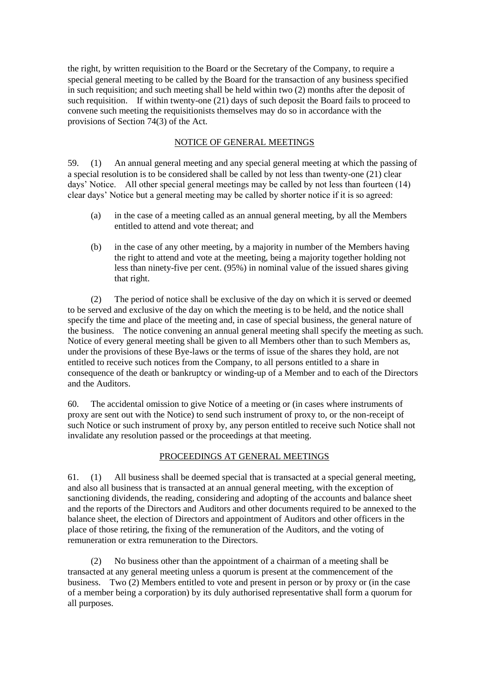the right, by written requisition to the Board or the Secretary of the Company, to require a special general meeting to be called by the Board for the transaction of any business specified in such requisition; and such meeting shall be held within two (2) months after the deposit of such requisition. If within twenty-one (21) days of such deposit the Board fails to proceed to convene such meeting the requisitionists themselves may do so in accordance with the provisions of Section 74(3) of the Act.

## NOTICE OF GENERAL MEETINGS

59. (1) An annual general meeting and any special general meeting at which the passing of a special resolution is to be considered shall be called by not less than twenty-one (21) clear days' Notice. All other special general meetings may be called by not less than fourteen (14) clear days' Notice but a general meeting may be called by shorter notice if it is so agreed:

- (a) in the case of a meeting called as an annual general meeting, by all the Members entitled to attend and vote thereat; and
- (b) in the case of any other meeting, by a majority in number of the Members having the right to attend and vote at the meeting, being a majority together holding not less than ninety-five per cent. (95%) in nominal value of the issued shares giving that right.

(2) The period of notice shall be exclusive of the day on which it is served or deemed to be served and exclusive of the day on which the meeting is to be held, and the notice shall specify the time and place of the meeting and, in case of special business, the general nature of the business. The notice convening an annual general meeting shall specify the meeting as such. Notice of every general meeting shall be given to all Members other than to such Members as, under the provisions of these Bye-laws or the terms of issue of the shares they hold, are not entitled to receive such notices from the Company, to all persons entitled to a share in consequence of the death or bankruptcy or winding-up of a Member and to each of the Directors and the Auditors.

60. The accidental omission to give Notice of a meeting or (in cases where instruments of proxy are sent out with the Notice) to send such instrument of proxy to, or the non-receipt of such Notice or such instrument of proxy by, any person entitled to receive such Notice shall not invalidate any resolution passed or the proceedings at that meeting.

## PROCEEDINGS AT GENERAL MEETINGS

61. (1) All business shall be deemed special that is transacted at a special general meeting, and also all business that is transacted at an annual general meeting, with the exception of sanctioning dividends, the reading, considering and adopting of the accounts and balance sheet and the reports of the Directors and Auditors and other documents required to be annexed to the balance sheet, the election of Directors and appointment of Auditors and other officers in the place of those retiring, the fixing of the remuneration of the Auditors, and the voting of remuneration or extra remuneration to the Directors.

(2) No business other than the appointment of a chairman of a meeting shall be transacted at any general meeting unless a quorum is present at the commencement of the business. Two (2) Members entitled to vote and present in person or by proxy or (in the case of a member being a corporation) by its duly authorised representative shall form a quorum for all purposes.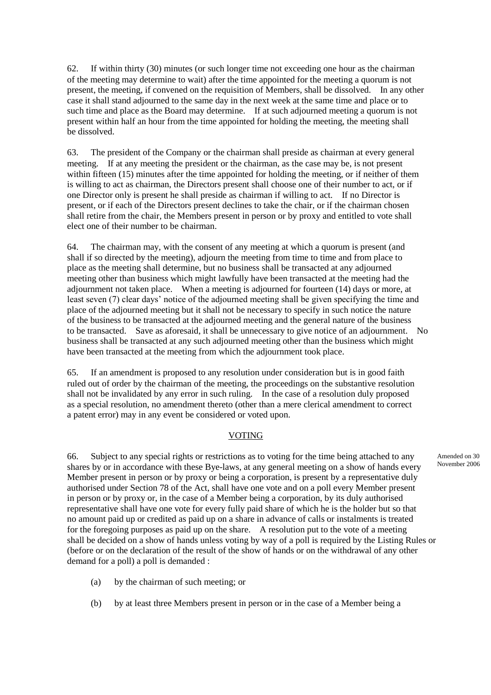62. If within thirty (30) minutes (or such longer time not exceeding one hour as the chairman of the meeting may determine to wait) after the time appointed for the meeting a quorum is not present, the meeting, if convened on the requisition of Members, shall be dissolved. In any other case it shall stand adjourned to the same day in the next week at the same time and place or to such time and place as the Board may determine. If at such adjourned meeting a quorum is not present within half an hour from the time appointed for holding the meeting, the meeting shall be dissolved.

63. The president of the Company or the chairman shall preside as chairman at every general meeting. If at any meeting the president or the chairman, as the case may be, is not present within fifteen (15) minutes after the time appointed for holding the meeting, or if neither of them is willing to act as chairman, the Directors present shall choose one of their number to act, or if one Director only is present he shall preside as chairman if willing to act. If no Director is present, or if each of the Directors present declines to take the chair, or if the chairman chosen shall retire from the chair, the Members present in person or by proxy and entitled to vote shall elect one of their number to be chairman.

64. The chairman may, with the consent of any meeting at which a quorum is present (and shall if so directed by the meeting), adjourn the meeting from time to time and from place to place as the meeting shall determine, but no business shall be transacted at any adjourned meeting other than business which might lawfully have been transacted at the meeting had the adjournment not taken place. When a meeting is adjourned for fourteen (14) days or more, at least seven (7) clear days' notice of the adjourned meeting shall be given specifying the time and place of the adjourned meeting but it shall not be necessary to specify in such notice the nature of the business to be transacted at the adjourned meeting and the general nature of the business to be transacted. Save as aforesaid, it shall be unnecessary to give notice of an adjournment. No business shall be transacted at any such adjourned meeting other than the business which might have been transacted at the meeting from which the adjournment took place.

65. If an amendment is proposed to any resolution under consideration but is in good faith ruled out of order by the chairman of the meeting, the proceedings on the substantive resolution shall not be invalidated by any error in such ruling. In the case of a resolution duly proposed as a special resolution, no amendment thereto (other than a mere clerical amendment to correct a patent error) may in any event be considered or voted upon.

## VOTING

66. Subject to any special rights or restrictions as to voting for the time being attached to any shares by or in accordance with these Bye-laws, at any general meeting on a show of hands every Member present in person or by proxy or being a corporation, is present by a representative duly authorised under Section 78 of the Act, shall have one vote and on a poll every Member present in person or by proxy or, in the case of a Member being a corporation, by its duly authorised representative shall have one vote for every fully paid share of which he is the holder but so that no amount paid up or credited as paid up on a share in advance of calls or instalments is treated for the foregoing purposes as paid up on the share. A resolution put to the vote of a meeting shall be decided on a show of hands unless voting by way of a poll is required by the Listing Rules or (before or on the declaration of the result of the show of hands or on the withdrawal of any other demand for a poll) a poll is demanded :

- (a) by the chairman of such meeting; or
- (b) by at least three Members present in person or in the case of a Member being a

Amended on 30 November 2006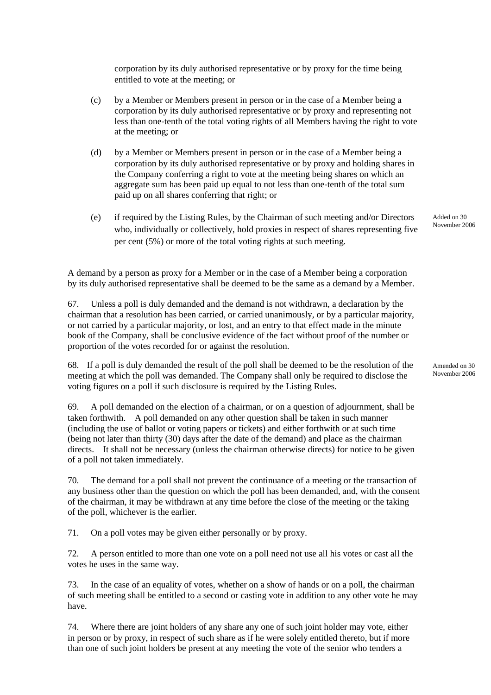corporation by its duly authorised representative or by proxy for the time being entitled to vote at the meeting; or

- (c) by a Member or Members present in person or in the case of a Member being a corporation by its duly authorised representative or by proxy and representing not less than one-tenth of the total voting rights of all Members having the right to vote at the meeting; or
- (d) by a Member or Members present in person or in the case of a Member being a corporation by its duly authorised representative or by proxy and holding shares in the Company conferring a right to vote at the meeting being shares on which an aggregate sum has been paid up equal to not less than one-tenth of the total sum paid up on all shares conferring that right; or
- (e) if required by the Listing Rules, by the Chairman of such meeting and/or Directors who, individually or collectively, hold proxies in respect of shares representing five per cent (5%) or more of the total voting rights at such meeting.

A demand by a person as proxy for a Member or in the case of a Member being a corporation by its duly authorised representative shall be deemed to be the same as a demand by a Member.

67. Unless a poll is duly demanded and the demand is not withdrawn, a declaration by the chairman that a resolution has been carried, or carried unanimously, or by a particular majority, or not carried by a particular majority, or lost, and an entry to that effect made in the minute book of the Company, shall be conclusive evidence of the fact without proof of the number or proportion of the votes recorded for or against the resolution.

68. If a poll is duly demanded the result of the poll shall be deemed to be the resolution of the meeting at which the poll was demanded. The Company shall only be required to disclose the voting figures on a poll if such disclosure is required by the Listing Rules.

69. A poll demanded on the election of a chairman, or on a question of adjournment, shall be taken forthwith. A poll demanded on any other question shall be taken in such manner (including the use of ballot or voting papers or tickets) and either forthwith or at such time (being not later than thirty (30) days after the date of the demand) and place as the chairman directs. It shall not be necessary (unless the chairman otherwise directs) for notice to be given of a poll not taken immediately.

70. The demand for a poll shall not prevent the continuance of a meeting or the transaction of any business other than the question on which the poll has been demanded, and, with the consent of the chairman, it may be withdrawn at any time before the close of the meeting or the taking of the poll, whichever is the earlier.

71. On a poll votes may be given either personally or by proxy.

72. A person entitled to more than one vote on a poll need not use all his votes or cast all the votes he uses in the same way.

73. In the case of an equality of votes, whether on a show of hands or on a poll, the chairman of such meeting shall be entitled to a second or casting vote in addition to any other vote he may have.

74. Where there are joint holders of any share any one of such joint holder may vote, either in person or by proxy, in respect of such share as if he were solely entitled thereto, but if more than one of such joint holders be present at any meeting the vote of the senior who tenders a

Added on 30 November 2006

Amended on 30 November 2006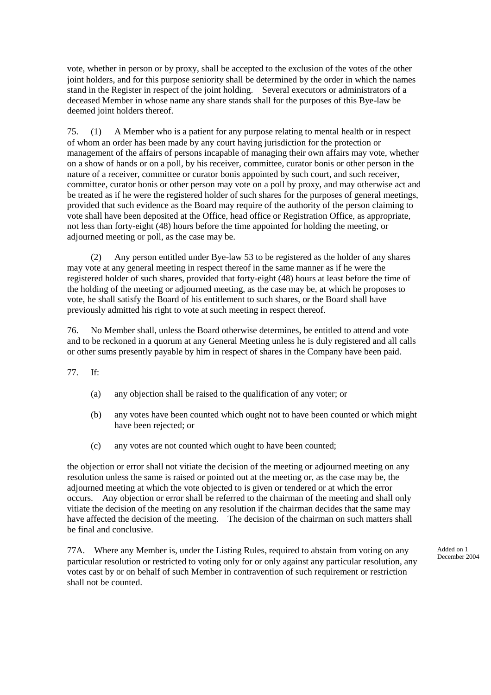vote, whether in person or by proxy, shall be accepted to the exclusion of the votes of the other joint holders, and for this purpose seniority shall be determined by the order in which the names stand in the Register in respect of the joint holding. Several executors or administrators of a deceased Member in whose name any share stands shall for the purposes of this Bye-law be deemed joint holders thereof.

75. (1) A Member who is a patient for any purpose relating to mental health or in respect of whom an order has been made by any court having jurisdiction for the protection or management of the affairs of persons incapable of managing their own affairs may vote, whether on a show of hands or on a poll, by his receiver, committee, curator bonis or other person in the nature of a receiver, committee or curator bonis appointed by such court, and such receiver, committee, curator bonis or other person may vote on a poll by proxy, and may otherwise act and be treated as if he were the registered holder of such shares for the purposes of general meetings, provided that such evidence as the Board may require of the authority of the person claiming to vote shall have been deposited at the Office, head office or Registration Office, as appropriate, not less than forty-eight (48) hours before the time appointed for holding the meeting, or adjourned meeting or poll, as the case may be.

(2) Any person entitled under Bye-law 53 to be registered as the holder of any shares may vote at any general meeting in respect thereof in the same manner as if he were the registered holder of such shares, provided that forty-eight (48) hours at least before the time of the holding of the meeting or adjourned meeting, as the case may be, at which he proposes to vote, he shall satisfy the Board of his entitlement to such shares, or the Board shall have previously admitted his right to vote at such meeting in respect thereof.

76. No Member shall, unless the Board otherwise determines, be entitled to attend and vote and to be reckoned in a quorum at any General Meeting unless he is duly registered and all calls or other sums presently payable by him in respect of shares in the Company have been paid.

77. If:

- (a) any objection shall be raised to the qualification of any voter; or
- (b) any votes have been counted which ought not to have been counted or which might have been rejected; or
- (c) any votes are not counted which ought to have been counted;

the objection or error shall not vitiate the decision of the meeting or adjourned meeting on any resolution unless the same is raised or pointed out at the meeting or, as the case may be, the adjourned meeting at which the vote objected to is given or tendered or at which the error occurs. Any objection or error shall be referred to the chairman of the meeting and shall only vitiate the decision of the meeting on any resolution if the chairman decides that the same may have affected the decision of the meeting. The decision of the chairman on such matters shall be final and conclusive.

77A. Where any Member is, under the Listing Rules, required to abstain from voting on any particular resolution or restricted to voting only for or only against any particular resolution, any votes cast by or on behalf of such Member in contravention of such requirement or restriction shall not be counted.

Added on 1 December 2004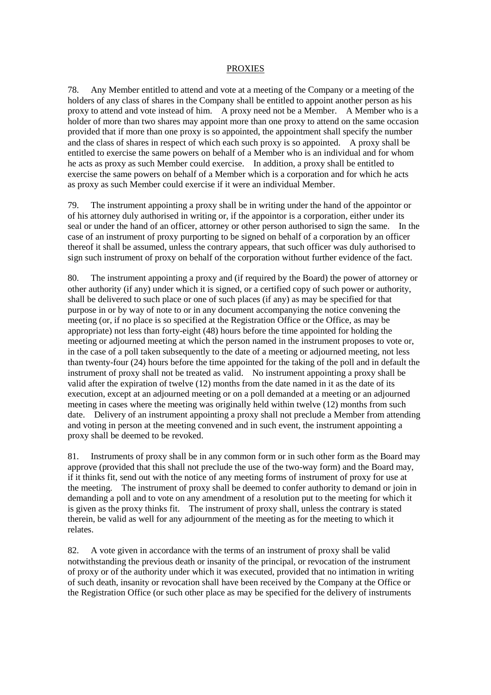#### PROXIES

78. Any Member entitled to attend and vote at a meeting of the Company or a meeting of the holders of any class of shares in the Company shall be entitled to appoint another person as his proxy to attend and vote instead of him. A proxy need not be a Member. A Member who is a holder of more than two shares may appoint more than one proxy to attend on the same occasion provided that if more than one proxy is so appointed, the appointment shall specify the number and the class of shares in respect of which each such proxy is so appointed. A proxy shall be entitled to exercise the same powers on behalf of a Member who is an individual and for whom he acts as proxy as such Member could exercise. In addition, a proxy shall be entitled to exercise the same powers on behalf of a Member which is a corporation and for which he acts as proxy as such Member could exercise if it were an individual Member.

79. The instrument appointing a proxy shall be in writing under the hand of the appointor or of his attorney duly authorised in writing or, if the appointor is a corporation, either under its seal or under the hand of an officer, attorney or other person authorised to sign the same. In the case of an instrument of proxy purporting to be signed on behalf of a corporation by an officer thereof it shall be assumed, unless the contrary appears, that such officer was duly authorised to sign such instrument of proxy on behalf of the corporation without further evidence of the fact.

80. The instrument appointing a proxy and (if required by the Board) the power of attorney or other authority (if any) under which it is signed, or a certified copy of such power or authority, shall be delivered to such place or one of such places (if any) as may be specified for that purpose in or by way of note to or in any document accompanying the notice convening the meeting (or, if no place is so specified at the Registration Office or the Office, as may be appropriate) not less than forty-eight (48) hours before the time appointed for holding the meeting or adjourned meeting at which the person named in the instrument proposes to vote or, in the case of a poll taken subsequently to the date of a meeting or adjourned meeting, not less than twenty-four (24) hours before the time appointed for the taking of the poll and in default the instrument of proxy shall not be treated as valid. No instrument appointing a proxy shall be valid after the expiration of twelve (12) months from the date named in it as the date of its execution, except at an adjourned meeting or on a poll demanded at a meeting or an adjourned meeting in cases where the meeting was originally held within twelve (12) months from such date. Delivery of an instrument appointing a proxy shall not preclude a Member from attending and voting in person at the meeting convened and in such event, the instrument appointing a proxy shall be deemed to be revoked.

81. Instruments of proxy shall be in any common form or in such other form as the Board may approve (provided that this shall not preclude the use of the two-way form) and the Board may, if it thinks fit, send out with the notice of any meeting forms of instrument of proxy for use at the meeting. The instrument of proxy shall be deemed to confer authority to demand or join in demanding a poll and to vote on any amendment of a resolution put to the meeting for which it is given as the proxy thinks fit. The instrument of proxy shall, unless the contrary is stated therein, be valid as well for any adjournment of the meeting as for the meeting to which it relates.

82. A vote given in accordance with the terms of an instrument of proxy shall be valid notwithstanding the previous death or insanity of the principal, or revocation of the instrument of proxy or of the authority under which it was executed, provided that no intimation in writing of such death, insanity or revocation shall have been received by the Company at the Office or the Registration Office (or such other place as may be specified for the delivery of instruments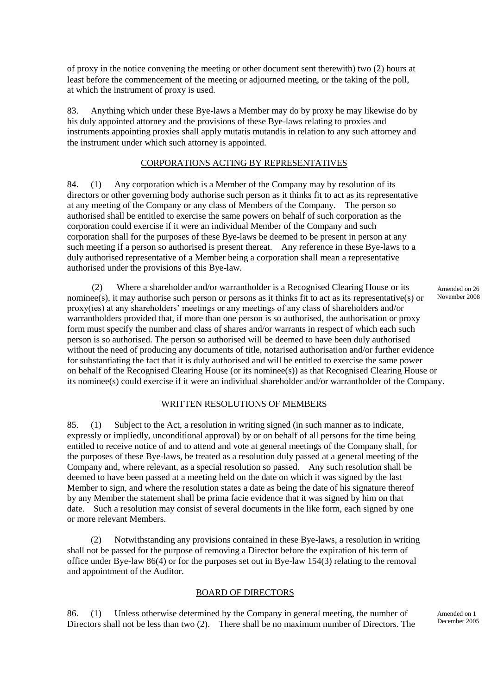of proxy in the notice convening the meeting or other document sent therewith) two (2) hours at least before the commencement of the meeting or adjourned meeting, or the taking of the poll, at which the instrument of proxy is used.

83. Anything which under these Bye-laws a Member may do by proxy he may likewise do by his duly appointed attorney and the provisions of these Bye-laws relating to proxies and instruments appointing proxies shall apply mutatis mutandis in relation to any such attorney and the instrument under which such attorney is appointed.

## CORPORATIONS ACTING BY REPRESENTATIVES

84. (1) Any corporation which is a Member of the Company may by resolution of its directors or other governing body authorise such person as it thinks fit to act as its representative at any meeting of the Company or any class of Members of the Company. The person so authorised shall be entitled to exercise the same powers on behalf of such corporation as the corporation could exercise if it were an individual Member of the Company and such corporation shall for the purposes of these Bye-laws be deemed to be present in person at any such meeting if a person so authorised is present thereat. Any reference in these Bye-laws to a duly authorised representative of a Member being a corporation shall mean a representative authorised under the provisions of this Bye-law.

(2) Where a shareholder and/or warrantholder is a Recognised Clearing House or its nominee(s), it may authorise such person or persons as it thinks fit to act as its representative(s) or proxy(ies) at any shareholders' meetings or any meetings of any class of shareholders and/or warrantholders provided that, if more than one person is so authorised, the authorisation or proxy form must specify the number and class of shares and/or warrants in respect of which each such person is so authorised. The person so authorised will be deemed to have been duly authorised without the need of producing any documents of title, notarised authorisation and/or further evidence for substantiating the fact that it is duly authorised and will be entitled to exercise the same power on behalf of the Recognised Clearing House (or its nominee(s)) as that Recognised Clearing House or its nominee(s) could exercise if it were an individual shareholder and/or warrantholder of the Company.

## WRITTEN RESOLUTIONS OF MEMBERS

85. (1) Subject to the Act, a resolution in writing signed (in such manner as to indicate, expressly or impliedly, unconditional approval) by or on behalf of all persons for the time being entitled to receive notice of and to attend and vote at general meetings of the Company shall, for the purposes of these Bye-laws, be treated as a resolution duly passed at a general meeting of the Company and, where relevant, as a special resolution so passed. Any such resolution shall be deemed to have been passed at a meeting held on the date on which it was signed by the last Member to sign, and where the resolution states a date as being the date of his signature thereof by any Member the statement shall be prima facie evidence that it was signed by him on that date. Such a resolution may consist of several documents in the like form, each signed by one or more relevant Members.

(2) Notwithstanding any provisions contained in these Bye-laws, a resolution in writing shall not be passed for the purpose of removing a Director before the expiration of his term of office under Bye-law 86(4) or for the purposes set out in Bye-law 154(3) relating to the removal and appointment of the Auditor.

## BOARD OF DIRECTORS

86. (1) Unless otherwise determined by the Company in general meeting, the number of Directors shall not be less than two (2). There shall be no maximum number of Directors. The Amended on 26 November 2008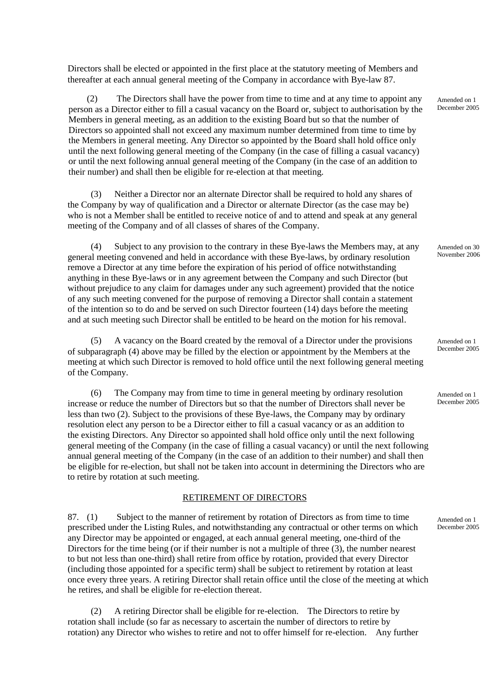Directors shall be elected or appointed in the first place at the statutory meeting of Members and thereafter at each annual general meeting of the Company in accordance with Bye-law 87.

(2) The Directors shall have the power from time to time and at any time to appoint any person as a Director either to fill a casual vacancy on the Board or, subject to authorisation by the Members in general meeting, as an addition to the existing Board but so that the number of Directors so appointed shall not exceed any maximum number determined from time to time by the Members in general meeting. Any Director so appointed by the Board shall hold office only until the next following general meeting of the Company (in the case of filling a casual vacancy) or until the next following annual general meeting of the Company (in the case of an addition to their number) and shall then be eligible for re-election at that meeting.

(3) Neither a Director nor an alternate Director shall be required to hold any shares of the Company by way of qualification and a Director or alternate Director (as the case may be) who is not a Member shall be entitled to receive notice of and to attend and speak at any general meeting of the Company and of all classes of shares of the Company.

(4) Subject to any provision to the contrary in these Bye-laws the Members may, at any general meeting convened and held in accordance with these Bye-laws, by ordinary resolution remove a Director at any time before the expiration of his period of office notwithstanding anything in these Bye-laws or in any agreement between the Company and such Director (but without prejudice to any claim for damages under any such agreement) provided that the notice of any such meeting convened for the purpose of removing a Director shall contain a statement of the intention so to do and be served on such Director fourteen (14) days before the meeting and at such meeting such Director shall be entitled to be heard on the motion for his removal.

(5) A vacancy on the Board created by the removal of a Director under the provisions of subparagraph (4) above may be filled by the election or appointment by the Members at the meeting at which such Director is removed to hold office until the next following general meeting of the Company.

(6) The Company may from time to time in general meeting by ordinary resolution increase or reduce the number of Directors but so that the number of Directors shall never be less than two (2). Subject to the provisions of these Bye-laws, the Company may by ordinary resolution elect any person to be a Director either to fill a casual vacancy or as an addition to the existing Directors. Any Director so appointed shall hold office only until the next following general meeting of the Company (in the case of filling a casual vacancy) or until the next following annual general meeting of the Company (in the case of an addition to their number) and shall then be eligible for re-election, but shall not be taken into account in determining the Directors who are to retire by rotation at such meeting.

#### RETIREMENT OF DIRECTORS

87. (1) Subject to the manner of retirement by rotation of Directors as from time to time prescribed under the Listing Rules, and notwithstanding any contractual or other terms on which any Director may be appointed or engaged, at each annual general meeting, one-third of the Directors for the time being (or if their number is not a multiple of three (3), the number nearest to but not less than one-third) shall retire from office by rotation, provided that every Director (including those appointed for a specific term) shall be subject to retirement by rotation at least once every three years. A retiring Director shall retain office until the close of the meeting at which he retires, and shall be eligible for re-election thereat.

(2) A retiring Director shall be eligible for re-election. The Directors to retire by rotation shall include (so far as necessary to ascertain the number of directors to retire by rotation) any Director who wishes to retire and not to offer himself for re-election. Any further Amended on 1 December 2005

Amended on 30 November 2006

Amended on 1 December 2005

Amended on 1 December 2005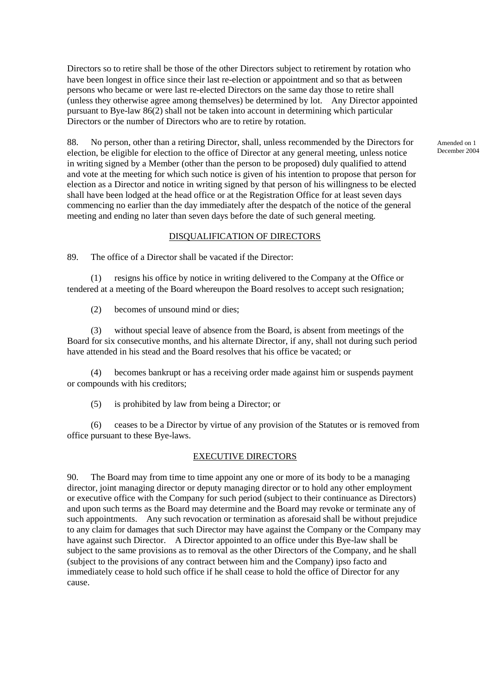Directors so to retire shall be those of the other Directors subject to retirement by rotation who have been longest in office since their last re-election or appointment and so that as between persons who became or were last re-elected Directors on the same day those to retire shall (unless they otherwise agree among themselves) be determined by lot. Any Director appointed pursuant to Bye-law 86(2) shall not be taken into account in determining which particular Directors or the number of Directors who are to retire by rotation.

88. No person, other than a retiring Director, shall, unless recommended by the Directors for election, be eligible for election to the office of Director at any general meeting, unless notice in writing signed by a Member (other than the person to be proposed) duly qualified to attend and vote at the meeting for which such notice is given of his intention to propose that person for election as a Director and notice in writing signed by that person of his willingness to be elected shall have been lodged at the head office or at the Registration Office for at least seven days commencing no earlier than the day immediately after the despatch of the notice of the general meeting and ending no later than seven days before the date of such general meeting.

#### DISQUALIFICATION OF DIRECTORS

89. The office of a Director shall be vacated if the Director:

(1) resigns his office by notice in writing delivered to the Company at the Office or tendered at a meeting of the Board whereupon the Board resolves to accept such resignation;

(2) becomes of unsound mind or dies;

(3) without special leave of absence from the Board, is absent from meetings of the Board for six consecutive months, and his alternate Director, if any, shall not during such period have attended in his stead and the Board resolves that his office be vacated; or

(4) becomes bankrupt or has a receiving order made against him or suspends payment or compounds with his creditors;

(5) is prohibited by law from being a Director; or

(6) ceases to be a Director by virtue of any provision of the Statutes or is removed from office pursuant to these Bye-laws.

#### EXECUTIVE DIRECTORS

90. The Board may from time to time appoint any one or more of its body to be a managing director, joint managing director or deputy managing director or to hold any other employment or executive office with the Company for such period (subject to their continuance as Directors) and upon such terms as the Board may determine and the Board may revoke or terminate any of such appointments. Any such revocation or termination as aforesaid shall be without prejudice to any claim for damages that such Director may have against the Company or the Company may have against such Director. A Director appointed to an office under this Bye-law shall be subject to the same provisions as to removal as the other Directors of the Company, and he shall (subject to the provisions of any contract between him and the Company) ipso facto and immediately cease to hold such office if he shall cease to hold the office of Director for any cause.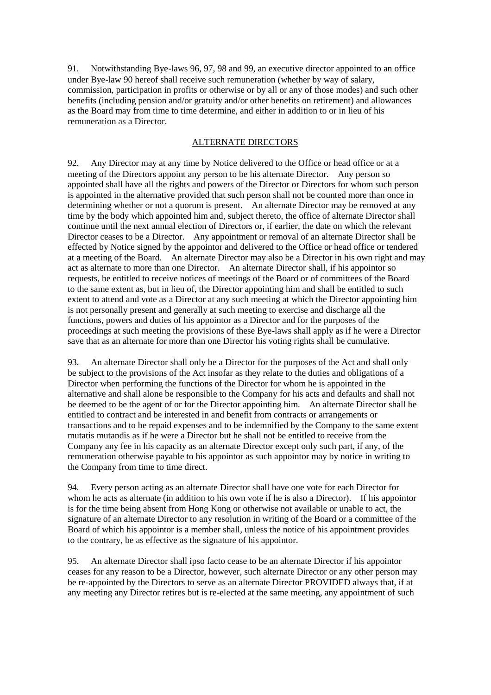91. Notwithstanding Bye-laws 96, 97, 98 and 99, an executive director appointed to an office under Bye-law 90 hereof shall receive such remuneration (whether by way of salary, commission, participation in profits or otherwise or by all or any of those modes) and such other benefits (including pension and/or gratuity and/or other benefits on retirement) and allowances as the Board may from time to time determine, and either in addition to or in lieu of his remuneration as a Director.

## ALTERNATE DIRECTORS

92. Any Director may at any time by Notice delivered to the Office or head office or at a meeting of the Directors appoint any person to be his alternate Director. Any person so appointed shall have all the rights and powers of the Director or Directors for whom such person is appointed in the alternative provided that such person shall not be counted more than once in determining whether or not a quorum is present. An alternate Director may be removed at any time by the body which appointed him and, subject thereto, the office of alternate Director shall continue until the next annual election of Directors or, if earlier, the date on which the relevant Director ceases to be a Director. Any appointment or removal of an alternate Director shall be effected by Notice signed by the appointor and delivered to the Office or head office or tendered at a meeting of the Board. An alternate Director may also be a Director in his own right and may act as alternate to more than one Director. An alternate Director shall, if his appointor so requests, be entitled to receive notices of meetings of the Board or of committees of the Board to the same extent as, but in lieu of, the Director appointing him and shall be entitled to such extent to attend and vote as a Director at any such meeting at which the Director appointing him is not personally present and generally at such meeting to exercise and discharge all the functions, powers and duties of his appointor as a Director and for the purposes of the proceedings at such meeting the provisions of these Bye-laws shall apply as if he were a Director save that as an alternate for more than one Director his voting rights shall be cumulative.

93. An alternate Director shall only be a Director for the purposes of the Act and shall only be subject to the provisions of the Act insofar as they relate to the duties and obligations of a Director when performing the functions of the Director for whom he is appointed in the alternative and shall alone be responsible to the Company for his acts and defaults and shall not be deemed to be the agent of or for the Director appointing him. An alternate Director shall be entitled to contract and be interested in and benefit from contracts or arrangements or transactions and to be repaid expenses and to be indemnified by the Company to the same extent mutatis mutandis as if he were a Director but he shall not be entitled to receive from the Company any fee in his capacity as an alternate Director except only such part, if any, of the remuneration otherwise payable to his appointor as such appointor may by notice in writing to the Company from time to time direct.

94. Every person acting as an alternate Director shall have one vote for each Director for whom he acts as alternate (in addition to his own vote if he is also a Director). If his appointor is for the time being absent from Hong Kong or otherwise not available or unable to act, the signature of an alternate Director to any resolution in writing of the Board or a committee of the Board of which his appointor is a member shall, unless the notice of his appointment provides to the contrary, be as effective as the signature of his appointor.

95. An alternate Director shall ipso facto cease to be an alternate Director if his appointor ceases for any reason to be a Director, however, such alternate Director or any other person may be re-appointed by the Directors to serve as an alternate Director PROVIDED always that, if at any meeting any Director retires but is re-elected at the same meeting, any appointment of such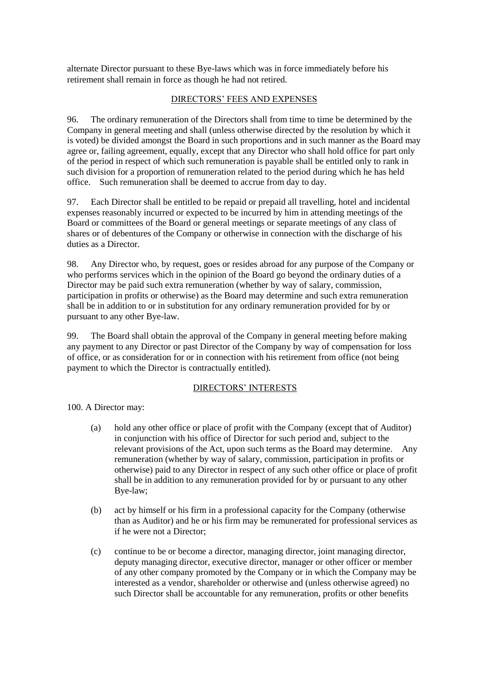alternate Director pursuant to these Bye-laws which was in force immediately before his retirement shall remain in force as though he had not retired.

## DIRECTORS' FEES AND EXPENSES

96. The ordinary remuneration of the Directors shall from time to time be determined by the Company in general meeting and shall (unless otherwise directed by the resolution by which it is voted) be divided amongst the Board in such proportions and in such manner as the Board may agree or, failing agreement, equally, except that any Director who shall hold office for part only of the period in respect of which such remuneration is payable shall be entitled only to rank in such division for a proportion of remuneration related to the period during which he has held office. Such remuneration shall be deemed to accrue from day to day.

97. Each Director shall be entitled to be repaid or prepaid all travelling, hotel and incidental expenses reasonably incurred or expected to be incurred by him in attending meetings of the Board or committees of the Board or general meetings or separate meetings of any class of shares or of debentures of the Company or otherwise in connection with the discharge of his duties as a Director.

98. Any Director who, by request, goes or resides abroad for any purpose of the Company or who performs services which in the opinion of the Board go beyond the ordinary duties of a Director may be paid such extra remuneration (whether by way of salary, commission, participation in profits or otherwise) as the Board may determine and such extra remuneration shall be in addition to or in substitution for any ordinary remuneration provided for by or pursuant to any other Bye-law.

99. The Board shall obtain the approval of the Company in general meeting before making any payment to any Director or past Director of the Company by way of compensation for loss of office, or as consideration for or in connection with his retirement from office (not being payment to which the Director is contractually entitled).

## DIRECTORS' INTERESTS

100. A Director may:

- (a) hold any other office or place of profit with the Company (except that of Auditor) in conjunction with his office of Director for such period and, subject to the relevant provisions of the Act, upon such terms as the Board may determine. Any remuneration (whether by way of salary, commission, participation in profits or otherwise) paid to any Director in respect of any such other office or place of profit shall be in addition to any remuneration provided for by or pursuant to any other Bye-law;
- (b) act by himself or his firm in a professional capacity for the Company (otherwise than as Auditor) and he or his firm may be remunerated for professional services as if he were not a Director;
- (c) continue to be or become a director, managing director, joint managing director, deputy managing director, executive director, manager or other officer or member of any other company promoted by the Company or in which the Company may be interested as a vendor, shareholder or otherwise and (unless otherwise agreed) no such Director shall be accountable for any remuneration, profits or other benefits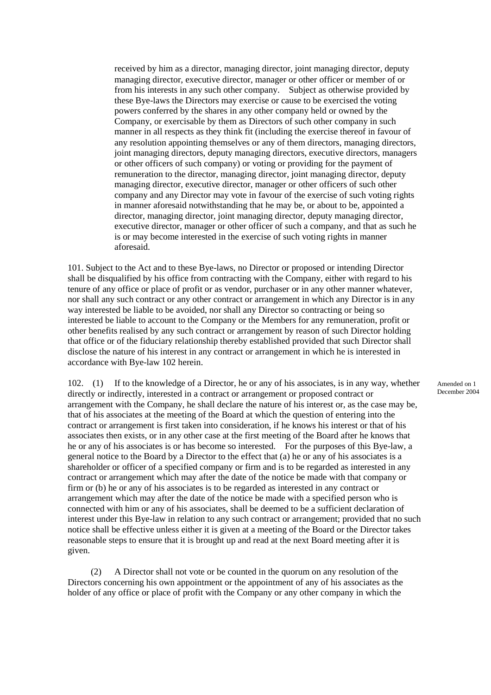received by him as a director, managing director, joint managing director, deputy managing director, executive director, manager or other officer or member of or from his interests in any such other company. Subject as otherwise provided by these Bye-laws the Directors may exercise or cause to be exercised the voting powers conferred by the shares in any other company held or owned by the Company, or exercisable by them as Directors of such other company in such manner in all respects as they think fit (including the exercise thereof in favour of any resolution appointing themselves or any of them directors, managing directors, joint managing directors, deputy managing directors, executive directors, managers or other officers of such company) or voting or providing for the payment of remuneration to the director, managing director, joint managing director, deputy managing director, executive director, manager or other officers of such other company and any Director may vote in favour of the exercise of such voting rights in manner aforesaid notwithstanding that he may be, or about to be, appointed a director, managing director, joint managing director, deputy managing director, executive director, manager or other officer of such a company, and that as such he is or may become interested in the exercise of such voting rights in manner aforesaid.

101. Subject to the Act and to these Bye-laws, no Director or proposed or intending Director shall be disqualified by his office from contracting with the Company, either with regard to his tenure of any office or place of profit or as vendor, purchaser or in any other manner whatever, nor shall any such contract or any other contract or arrangement in which any Director is in any way interested be liable to be avoided, nor shall any Director so contracting or being so interested be liable to account to the Company or the Members for any remuneration, profit or other benefits realised by any such contract or arrangement by reason of such Director holding that office or of the fiduciary relationship thereby established provided that such Director shall disclose the nature of his interest in any contract or arrangement in which he is interested in accordance with Bye-law 102 herein.

102. (1) If to the knowledge of a Director, he or any of his associates, is in any way, whether directly or indirectly, interested in a contract or arrangement or proposed contract or arrangement with the Company, he shall declare the nature of his interest or, as the case may be, that of his associates at the meeting of the Board at which the question of entering into the contract or arrangement is first taken into consideration, if he knows his interest or that of his associates then exists, or in any other case at the first meeting of the Board after he knows that he or any of his associates is or has become so interested. For the purposes of this Bye-law, a general notice to the Board by a Director to the effect that (a) he or any of his associates is a shareholder or officer of a specified company or firm and is to be regarded as interested in any contract or arrangement which may after the date of the notice be made with that company or firm or (b) he or any of his associates is to be regarded as interested in any contract or arrangement which may after the date of the notice be made with a specified person who is connected with him or any of his associates, shall be deemed to be a sufficient declaration of interest under this Bye-law in relation to any such contract or arrangement; provided that no such notice shall be effective unless either it is given at a meeting of the Board or the Director takes reasonable steps to ensure that it is brought up and read at the next Board meeting after it is given.

(2) A Director shall not vote or be counted in the quorum on any resolution of the Directors concerning his own appointment or the appointment of any of his associates as the holder of any office or place of profit with the Company or any other company in which the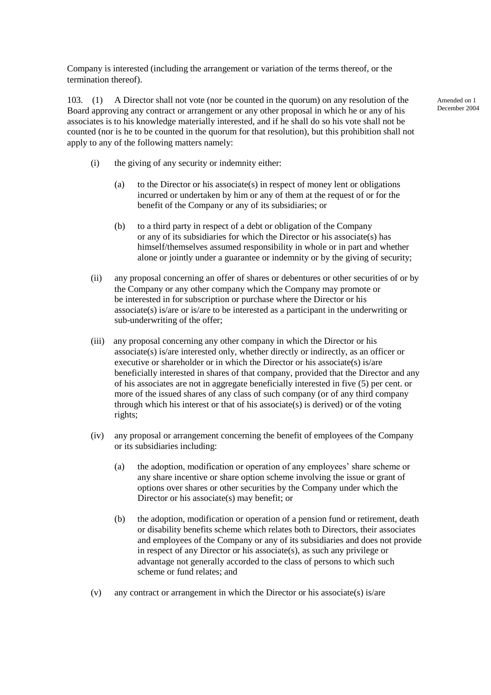Company is interested (including the arrangement or variation of the terms thereof, or the termination thereof).

103. (1) A Director shall not vote (nor be counted in the quorum) on any resolution of the Board approving any contract or arrangement or any other proposal in which he or any of his associates is to his knowledge materially interested, and if he shall do so his vote shall not be counted (nor is he to be counted in the quorum for that resolution), but this prohibition shall not apply to any of the following matters namely:

- (i) the giving of any security or indemnity either:
	- (a) to the Director or his associate(s) in respect of money lent or obligations incurred or undertaken by him or any of them at the request of or for the benefit of the Company or any of its subsidiaries; or
	- (b) to a third party in respect of a debt or obligation of the Company or any of its subsidiaries for which the Director or his associate(s) has himself/themselves assumed responsibility in whole or in part and whether alone or jointly under a guarantee or indemnity or by the giving of security;
- (ii) any proposal concerning an offer of shares or debentures or other securities of or by the Company or any other company which the Company may promote or be interested in for subscription or purchase where the Director or his associate(s) is/are or is/are to be interested as a participant in the underwriting or sub-underwriting of the offer;
- (iii) any proposal concerning any other company in which the Director or his associate(s) is/are interested only, whether directly or indirectly, as an officer or executive or shareholder or in which the Director or his associate(s) is/are beneficially interested in shares of that company, provided that the Director and any of his associates are not in aggregate beneficially interested in five (5) per cent. or more of the issued shares of any class of such company (or of any third company through which his interest or that of his associate(s) is derived) or of the voting rights;
- (iv) any proposal or arrangement concerning the benefit of employees of the Company or its subsidiaries including:
	- (a) the adoption, modification or operation of any employees' share scheme or any share incentive or share option scheme involving the issue or grant of options over shares or other securities by the Company under which the Director or his associate(s) may benefit; or
	- (b) the adoption, modification or operation of a pension fund or retirement, death or disability benefits scheme which relates both to Directors, their associates and employees of the Company or any of its subsidiaries and does not provide in respect of any Director or his associate(s), as such any privilege or advantage not generally accorded to the class of persons to which such scheme or fund relates; and
- (v) any contract or arrangement in which the Director or his associate(s) is/are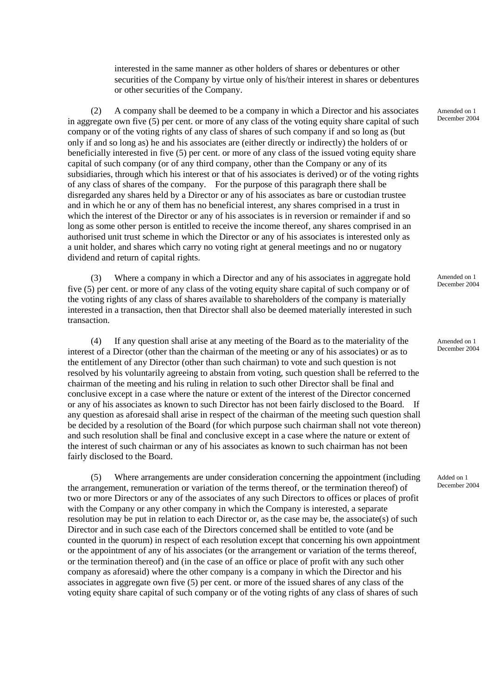interested in the same manner as other holders of shares or debentures or other securities of the Company by virtue only of his/their interest in shares or debentures or other securities of the Company.

(2) A company shall be deemed to be a company in which a Director and his associates in aggregate own five (5) per cent. or more of any class of the voting equity share capital of such company or of the voting rights of any class of shares of such company if and so long as (but only if and so long as) he and his associates are (either directly or indirectly) the holders of or beneficially interested in five (5) per cent. or more of any class of the issued voting equity share capital of such company (or of any third company, other than the Company or any of its subsidiaries, through which his interest or that of his associates is derived) or of the voting rights of any class of shares of the company. For the purpose of this paragraph there shall be disregarded any shares held by a Director or any of his associates as bare or custodian trustee and in which he or any of them has no beneficial interest, any shares comprised in a trust in which the interest of the Director or any of his associates is in reversion or remainder if and so long as some other person is entitled to receive the income thereof, any shares comprised in an authorised unit trust scheme in which the Director or any of his associates is interested only as a unit holder, and shares which carry no voting right at general meetings and no or nugatory dividend and return of capital rights.

(3) Where a company in which a Director and any of his associates in aggregate hold five (5) per cent. or more of any class of the voting equity share capital of such company or of the voting rights of any class of shares available to shareholders of the company is materially interested in a transaction, then that Director shall also be deemed materially interested in such transaction.

(4) If any question shall arise at any meeting of the Board as to the materiality of the interest of a Director (other than the chairman of the meeting or any of his associates) or as to the entitlement of any Director (other than such chairman) to vote and such question is not resolved by his voluntarily agreeing to abstain from voting, such question shall be referred to the chairman of the meeting and his ruling in relation to such other Director shall be final and conclusive except in a case where the nature or extent of the interest of the Director concerned or any of his associates as known to such Director has not been fairly disclosed to the Board. If any question as aforesaid shall arise in respect of the chairman of the meeting such question shall be decided by a resolution of the Board (for which purpose such chairman shall not vote thereon) and such resolution shall be final and conclusive except in a case where the nature or extent of the interest of such chairman or any of his associates as known to such chairman has not been fairly disclosed to the Board.

(5) Where arrangements are under consideration concerning the appointment (including the arrangement, remuneration or variation of the terms thereof, or the termination thereof) of two or more Directors or any of the associates of any such Directors to offices or places of profit with the Company or any other company in which the Company is interested, a separate resolution may be put in relation to each Director or, as the case may be, the associate(s) of such Director and in such case each of the Directors concerned shall be entitled to vote (and be counted in the quorum) in respect of each resolution except that concerning his own appointment or the appointment of any of his associates (or the arrangement or variation of the terms thereof, or the termination thereof) and (in the case of an office or place of profit with any such other company as aforesaid) where the other company is a company in which the Director and his associates in aggregate own five (5) per cent. or more of the issued shares of any class of the voting equity share capital of such company or of the voting rights of any class of shares of such

Amended on 1 December 2004

Amended on 1 December 2004

Amended on 1 December 2004

Added on 1 December 2004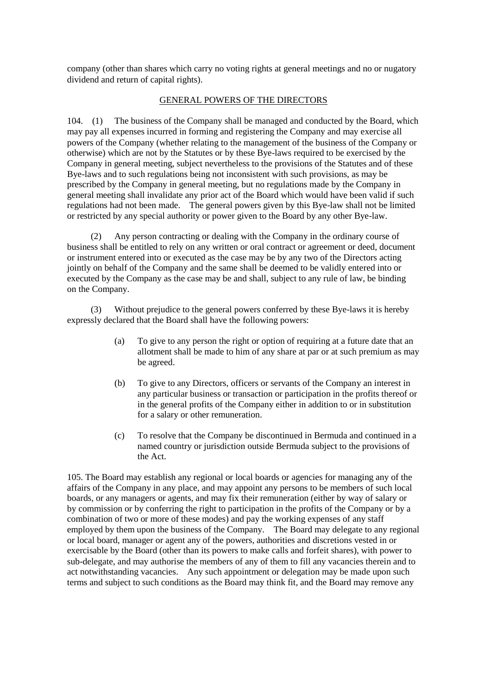company (other than shares which carry no voting rights at general meetings and no or nugatory dividend and return of capital rights).

## GENERAL POWERS OF THE DIRECTORS

104. (1) The business of the Company shall be managed and conducted by the Board, which may pay all expenses incurred in forming and registering the Company and may exercise all powers of the Company (whether relating to the management of the business of the Company or otherwise) which are not by the Statutes or by these Bye-laws required to be exercised by the Company in general meeting, subject nevertheless to the provisions of the Statutes and of these Bye-laws and to such regulations being not inconsistent with such provisions, as may be prescribed by the Company in general meeting, but no regulations made by the Company in general meeting shall invalidate any prior act of the Board which would have been valid if such regulations had not been made. The general powers given by this Bye-law shall not be limited or restricted by any special authority or power given to the Board by any other Bye-law.

(2) Any person contracting or dealing with the Company in the ordinary course of business shall be entitled to rely on any written or oral contract or agreement or deed, document or instrument entered into or executed as the case may be by any two of the Directors acting jointly on behalf of the Company and the same shall be deemed to be validly entered into or executed by the Company as the case may be and shall, subject to any rule of law, be binding on the Company.

(3) Without prejudice to the general powers conferred by these Bye-laws it is hereby expressly declared that the Board shall have the following powers:

- (a) To give to any person the right or option of requiring at a future date that an allotment shall be made to him of any share at par or at such premium as may be agreed.
- (b) To give to any Directors, officers or servants of the Company an interest in any particular business or transaction or participation in the profits thereof or in the general profits of the Company either in addition to or in substitution for a salary or other remuneration.
- (c) To resolve that the Company be discontinued in Bermuda and continued in a named country or jurisdiction outside Bermuda subject to the provisions of the Act.

105. The Board may establish any regional or local boards or agencies for managing any of the affairs of the Company in any place, and may appoint any persons to be members of such local boards, or any managers or agents, and may fix their remuneration (either by way of salary or by commission or by conferring the right to participation in the profits of the Company or by a combination of two or more of these modes) and pay the working expenses of any staff employed by them upon the business of the Company. The Board may delegate to any regional or local board, manager or agent any of the powers, authorities and discretions vested in or exercisable by the Board (other than its powers to make calls and forfeit shares), with power to sub-delegate, and may authorise the members of any of them to fill any vacancies therein and to act notwithstanding vacancies. Any such appointment or delegation may be made upon such terms and subject to such conditions as the Board may think fit, and the Board may remove any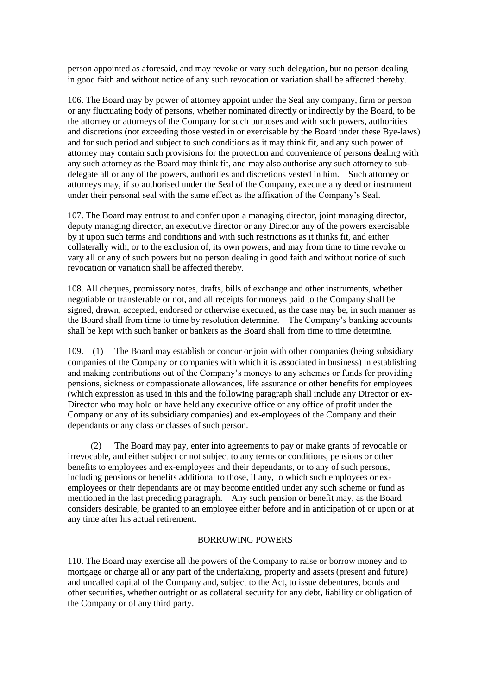person appointed as aforesaid, and may revoke or vary such delegation, but no person dealing in good faith and without notice of any such revocation or variation shall be affected thereby.

106. The Board may by power of attorney appoint under the Seal any company, firm or person or any fluctuating body of persons, whether nominated directly or indirectly by the Board, to be the attorney or attorneys of the Company for such purposes and with such powers, authorities and discretions (not exceeding those vested in or exercisable by the Board under these Bye-laws) and for such period and subject to such conditions as it may think fit, and any such power of attorney may contain such provisions for the protection and convenience of persons dealing with any such attorney as the Board may think fit, and may also authorise any such attorney to subdelegate all or any of the powers, authorities and discretions vested in him. Such attorney or attorneys may, if so authorised under the Seal of the Company, execute any deed or instrument under their personal seal with the same effect as the affixation of the Company's Seal.

107. The Board may entrust to and confer upon a managing director, joint managing director, deputy managing director, an executive director or any Director any of the powers exercisable by it upon such terms and conditions and with such restrictions as it thinks fit, and either collaterally with, or to the exclusion of, its own powers, and may from time to time revoke or vary all or any of such powers but no person dealing in good faith and without notice of such revocation or variation shall be affected thereby.

108. All cheques, promissory notes, drafts, bills of exchange and other instruments, whether negotiable or transferable or not, and all receipts for moneys paid to the Company shall be signed, drawn, accepted, endorsed or otherwise executed, as the case may be, in such manner as the Board shall from time to time by resolution determine. The Company's banking accounts shall be kept with such banker or bankers as the Board shall from time to time determine.

109. (1) The Board may establish or concur or join with other companies (being subsidiary companies of the Company or companies with which it is associated in business) in establishing and making contributions out of the Company's moneys to any schemes or funds for providing pensions, sickness or compassionate allowances, life assurance or other benefits for employees (which expression as used in this and the following paragraph shall include any Director or ex-Director who may hold or have held any executive office or any office of profit under the Company or any of its subsidiary companies) and ex-employees of the Company and their dependants or any class or classes of such person.

(2) The Board may pay, enter into agreements to pay or make grants of revocable or irrevocable, and either subject or not subject to any terms or conditions, pensions or other benefits to employees and ex-employees and their dependants, or to any of such persons, including pensions or benefits additional to those, if any, to which such employees or exemployees or their dependants are or may become entitled under any such scheme or fund as mentioned in the last preceding paragraph. Any such pension or benefit may, as the Board considers desirable, be granted to an employee either before and in anticipation of or upon or at any time after his actual retirement.

## BORROWING POWERS

110. The Board may exercise all the powers of the Company to raise or borrow money and to mortgage or charge all or any part of the undertaking, property and assets (present and future) and uncalled capital of the Company and, subject to the Act, to issue debentures, bonds and other securities, whether outright or as collateral security for any debt, liability or obligation of the Company or of any third party.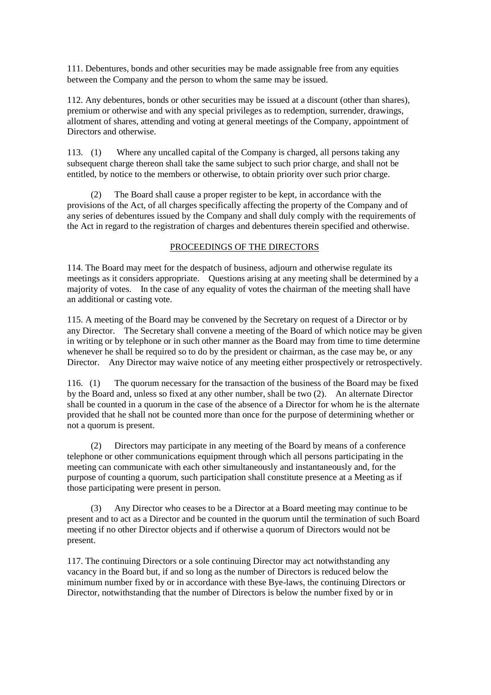111. Debentures, bonds and other securities may be made assignable free from any equities between the Company and the person to whom the same may be issued.

112. Any debentures, bonds or other securities may be issued at a discount (other than shares), premium or otherwise and with any special privileges as to redemption, surrender, drawings, allotment of shares, attending and voting at general meetings of the Company, appointment of Directors and otherwise.

113. (1) Where any uncalled capital of the Company is charged, all persons taking any subsequent charge thereon shall take the same subject to such prior charge, and shall not be entitled, by notice to the members or otherwise, to obtain priority over such prior charge.

(2) The Board shall cause a proper register to be kept, in accordance with the provisions of the Act, of all charges specifically affecting the property of the Company and of any series of debentures issued by the Company and shall duly comply with the requirements of the Act in regard to the registration of charges and debentures therein specified and otherwise.

## PROCEEDINGS OF THE DIRECTORS

114. The Board may meet for the despatch of business, adjourn and otherwise regulate its meetings as it considers appropriate. Questions arising at any meeting shall be determined by a majority of votes. In the case of any equality of votes the chairman of the meeting shall have an additional or casting vote.

115. A meeting of the Board may be convened by the Secretary on request of a Director or by any Director. The Secretary shall convene a meeting of the Board of which notice may be given in writing or by telephone or in such other manner as the Board may from time to time determine whenever he shall be required so to do by the president or chairman, as the case may be, or any Director. Any Director may waive notice of any meeting either prospectively or retrospectively.

116. (1) The quorum necessary for the transaction of the business of the Board may be fixed by the Board and, unless so fixed at any other number, shall be two (2). An alternate Director shall be counted in a quorum in the case of the absence of a Director for whom he is the alternate provided that he shall not be counted more than once for the purpose of determining whether or not a quorum is present.

(2) Directors may participate in any meeting of the Board by means of a conference telephone or other communications equipment through which all persons participating in the meeting can communicate with each other simultaneously and instantaneously and, for the purpose of counting a quorum, such participation shall constitute presence at a Meeting as if those participating were present in person.

(3) Any Director who ceases to be a Director at a Board meeting may continue to be present and to act as a Director and be counted in the quorum until the termination of such Board meeting if no other Director objects and if otherwise a quorum of Directors would not be present.

117. The continuing Directors or a sole continuing Director may act notwithstanding any vacancy in the Board but, if and so long as the number of Directors is reduced below the minimum number fixed by or in accordance with these Bye-laws, the continuing Directors or Director, notwithstanding that the number of Directors is below the number fixed by or in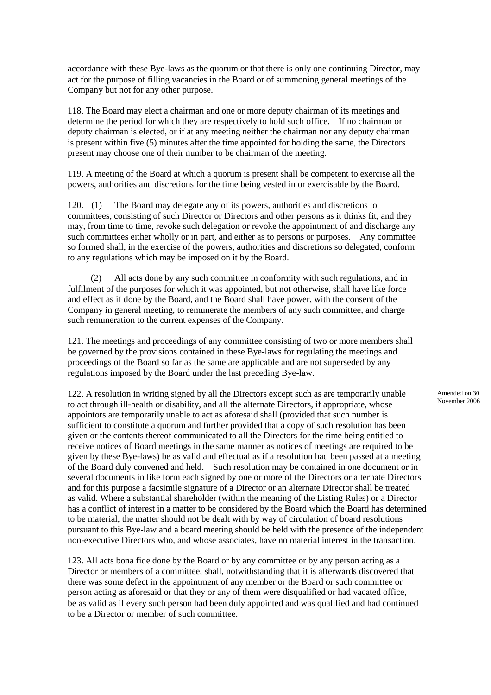accordance with these Bye-laws as the quorum or that there is only one continuing Director, may act for the purpose of filling vacancies in the Board or of summoning general meetings of the Company but not for any other purpose.

118. The Board may elect a chairman and one or more deputy chairman of its meetings and determine the period for which they are respectively to hold such office. If no chairman or deputy chairman is elected, or if at any meeting neither the chairman nor any deputy chairman is present within five (5) minutes after the time appointed for holding the same, the Directors present may choose one of their number to be chairman of the meeting.

119. A meeting of the Board at which a quorum is present shall be competent to exercise all the powers, authorities and discretions for the time being vested in or exercisable by the Board.

120. (1) The Board may delegate any of its powers, authorities and discretions to committees, consisting of such Director or Directors and other persons as it thinks fit, and they may, from time to time, revoke such delegation or revoke the appointment of and discharge any such committees either wholly or in part, and either as to persons or purposes. Any committee so formed shall, in the exercise of the powers, authorities and discretions so delegated, conform to any regulations which may be imposed on it by the Board.

(2) All acts done by any such committee in conformity with such regulations, and in fulfilment of the purposes for which it was appointed, but not otherwise, shall have like force and effect as if done by the Board, and the Board shall have power, with the consent of the Company in general meeting, to remunerate the members of any such committee, and charge such remuneration to the current expenses of the Company.

121. The meetings and proceedings of any committee consisting of two or more members shall be governed by the provisions contained in these Bye-laws for regulating the meetings and proceedings of the Board so far as the same are applicable and are not superseded by any regulations imposed by the Board under the last preceding Bye-law.

122. A resolution in writing signed by all the Directors except such as are temporarily unable to act through ill-health or disability, and all the alternate Directors, if appropriate, whose appointors are temporarily unable to act as aforesaid shall (provided that such number is sufficient to constitute a quorum and further provided that a copy of such resolution has been given or the contents thereof communicated to all the Directors for the time being entitled to receive notices of Board meetings in the same manner as notices of meetings are required to be given by these Bye-laws) be as valid and effectual as if a resolution had been passed at a meeting of the Board duly convened and held. Such resolution may be contained in one document or in several documents in like form each signed by one or more of the Directors or alternate Directors and for this purpose a facsimile signature of a Director or an alternate Director shall be treated as valid. Where a substantial shareholder (within the meaning of the Listing Rules) or a Director has a conflict of interest in a matter to be considered by the Board which the Board has determined to be material, the matter should not be dealt with by way of circulation of board resolutions pursuant to this Bye-law and a board meeting should be held with the presence of the independent non-executive Directors who, and whose associates, have no material interest in the transaction.

123. All acts bona fide done by the Board or by any committee or by any person acting as a Director or members of a committee, shall, notwithstanding that it is afterwards discovered that there was some defect in the appointment of any member or the Board or such committee or person acting as aforesaid or that they or any of them were disqualified or had vacated office, be as valid as if every such person had been duly appointed and was qualified and had continued to be a Director or member of such committee.

Amended on 30 November 2006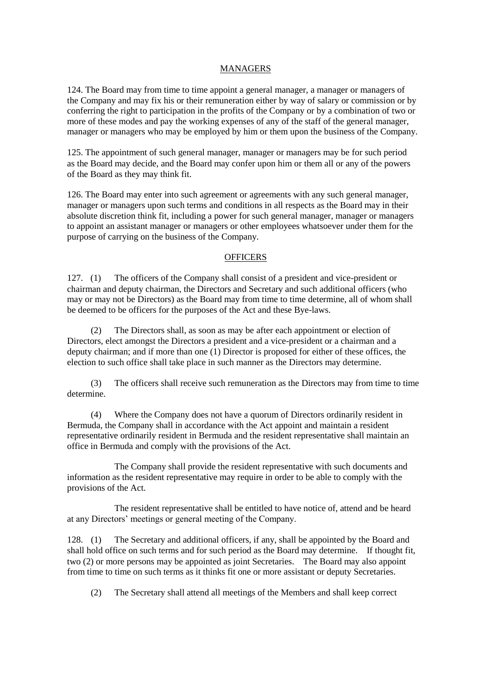#### MANAGERS

124. The Board may from time to time appoint a general manager, a manager or managers of the Company and may fix his or their remuneration either by way of salary or commission or by conferring the right to participation in the profits of the Company or by a combination of two or more of these modes and pay the working expenses of any of the staff of the general manager, manager or managers who may be employed by him or them upon the business of the Company.

125. The appointment of such general manager, manager or managers may be for such period as the Board may decide, and the Board may confer upon him or them all or any of the powers of the Board as they may think fit.

126. The Board may enter into such agreement or agreements with any such general manager, manager or managers upon such terms and conditions in all respects as the Board may in their absolute discretion think fit, including a power for such general manager, manager or managers to appoint an assistant manager or managers or other employees whatsoever under them for the purpose of carrying on the business of the Company.

#### **OFFICERS**

127. (1) The officers of the Company shall consist of a president and vice-president or chairman and deputy chairman, the Directors and Secretary and such additional officers (who may or may not be Directors) as the Board may from time to time determine, all of whom shall be deemed to be officers for the purposes of the Act and these Bye-laws.

The Directors shall, as soon as may be after each appointment or election of Directors, elect amongst the Directors a president and a vice-president or a chairman and a deputy chairman; and if more than one (1) Director is proposed for either of these offices, the election to such office shall take place in such manner as the Directors may determine.

(3) The officers shall receive such remuneration as the Directors may from time to time determine.

(4) Where the Company does not have a quorum of Directors ordinarily resident in Bermuda, the Company shall in accordance with the Act appoint and maintain a resident representative ordinarily resident in Bermuda and the resident representative shall maintain an office in Bermuda and comply with the provisions of the Act.

The Company shall provide the resident representative with such documents and information as the resident representative may require in order to be able to comply with the provisions of the Act.

The resident representative shall be entitled to have notice of, attend and be heard at any Directors' meetings or general meeting of the Company.

128. (1) The Secretary and additional officers, if any, shall be appointed by the Board and shall hold office on such terms and for such period as the Board may determine. If thought fit, two (2) or more persons may be appointed as joint Secretaries. The Board may also appoint from time to time on such terms as it thinks fit one or more assistant or deputy Secretaries.

(2) The Secretary shall attend all meetings of the Members and shall keep correct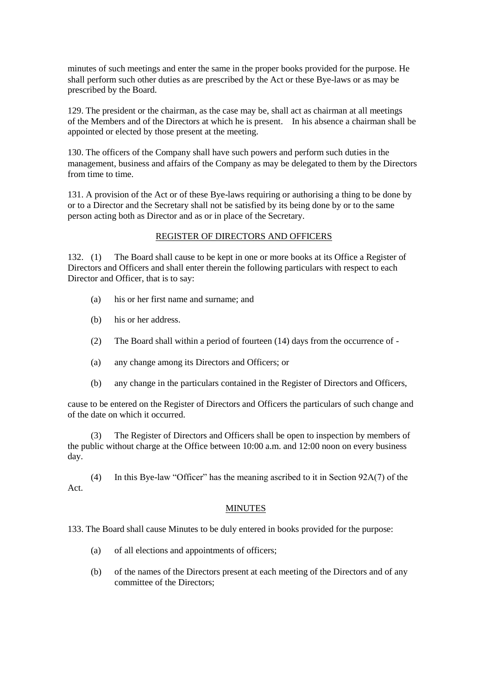minutes of such meetings and enter the same in the proper books provided for the purpose. He shall perform such other duties as are prescribed by the Act or these Bye-laws or as may be prescribed by the Board.

129. The president or the chairman, as the case may be, shall act as chairman at all meetings of the Members and of the Directors at which he is present. In his absence a chairman shall be appointed or elected by those present at the meeting.

130. The officers of the Company shall have such powers and perform such duties in the management, business and affairs of the Company as may be delegated to them by the Directors from time to time.

131. A provision of the Act or of these Bye-laws requiring or authorising a thing to be done by or to a Director and the Secretary shall not be satisfied by its being done by or to the same person acting both as Director and as or in place of the Secretary.

## REGISTER OF DIRECTORS AND OFFICERS

132. (1) The Board shall cause to be kept in one or more books at its Office a Register of Directors and Officers and shall enter therein the following particulars with respect to each Director and Officer, that is to say:

- (a) his or her first name and surname; and
- (b) his or her address.
- (2) The Board shall within a period of fourteen (14) days from the occurrence of -
- (a) any change among its Directors and Officers; or
- (b) any change in the particulars contained in the Register of Directors and Officers,

cause to be entered on the Register of Directors and Officers the particulars of such change and of the date on which it occurred.

(3) The Register of Directors and Officers shall be open to inspection by members of the public without charge at the Office between 10:00 a.m. and 12:00 noon on every business day.

(4) In this Bye-law "Officer" has the meaning ascribed to it in Section 92A(7) of the Act.

#### MINUTES

133. The Board shall cause Minutes to be duly entered in books provided for the purpose:

- (a) of all elections and appointments of officers;
- (b) of the names of the Directors present at each meeting of the Directors and of any committee of the Directors;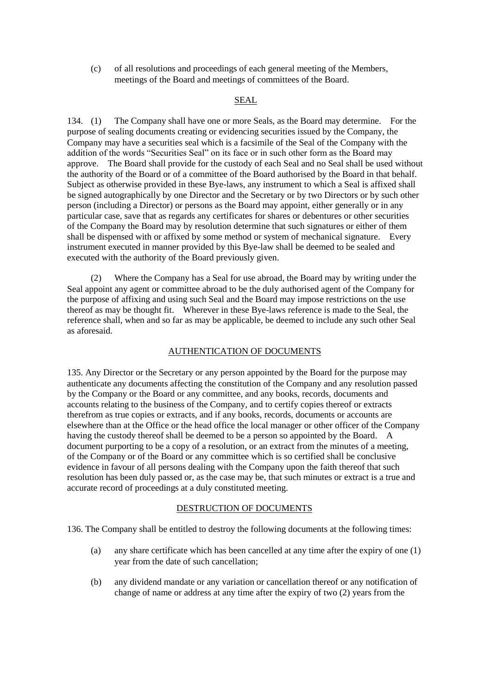(c) of all resolutions and proceedings of each general meeting of the Members, meetings of the Board and meetings of committees of the Board.

## SEAL

134. (1) The Company shall have one or more Seals, as the Board may determine. For the purpose of sealing documents creating or evidencing securities issued by the Company, the Company may have a securities seal which is a facsimile of the Seal of the Company with the addition of the words "Securities Seal" on its face or in such other form as the Board may approve. The Board shall provide for the custody of each Seal and no Seal shall be used without the authority of the Board or of a committee of the Board authorised by the Board in that behalf. Subject as otherwise provided in these Bye-laws, any instrument to which a Seal is affixed shall be signed autographically by one Director and the Secretary or by two Directors or by such other person (including a Director) or persons as the Board may appoint, either generally or in any particular case, save that as regards any certificates for shares or debentures or other securities of the Company the Board may by resolution determine that such signatures or either of them shall be dispensed with or affixed by some method or system of mechanical signature. Every instrument executed in manner provided by this Bye-law shall be deemed to be sealed and executed with the authority of the Board previously given.

(2) Where the Company has a Seal for use abroad, the Board may by writing under the Seal appoint any agent or committee abroad to be the duly authorised agent of the Company for the purpose of affixing and using such Seal and the Board may impose restrictions on the use thereof as may be thought fit. Wherever in these Bye-laws reference is made to the Seal, the reference shall, when and so far as may be applicable, be deemed to include any such other Seal as aforesaid.

## AUTHENTICATION OF DOCUMENTS

135. Any Director or the Secretary or any person appointed by the Board for the purpose may authenticate any documents affecting the constitution of the Company and any resolution passed by the Company or the Board or any committee, and any books, records, documents and accounts relating to the business of the Company, and to certify copies thereof or extracts therefrom as true copies or extracts, and if any books, records, documents or accounts are elsewhere than at the Office or the head office the local manager or other officer of the Company having the custody thereof shall be deemed to be a person so appointed by the Board. A document purporting to be a copy of a resolution, or an extract from the minutes of a meeting, of the Company or of the Board or any committee which is so certified shall be conclusive evidence in favour of all persons dealing with the Company upon the faith thereof that such resolution has been duly passed or, as the case may be, that such minutes or extract is a true and accurate record of proceedings at a duly constituted meeting.

## DESTRUCTION OF DOCUMENTS

136. The Company shall be entitled to destroy the following documents at the following times:

- (a) any share certificate which has been cancelled at any time after the expiry of one (1) year from the date of such cancellation;
- (b) any dividend mandate or any variation or cancellation thereof or any notification of change of name or address at any time after the expiry of two (2) years from the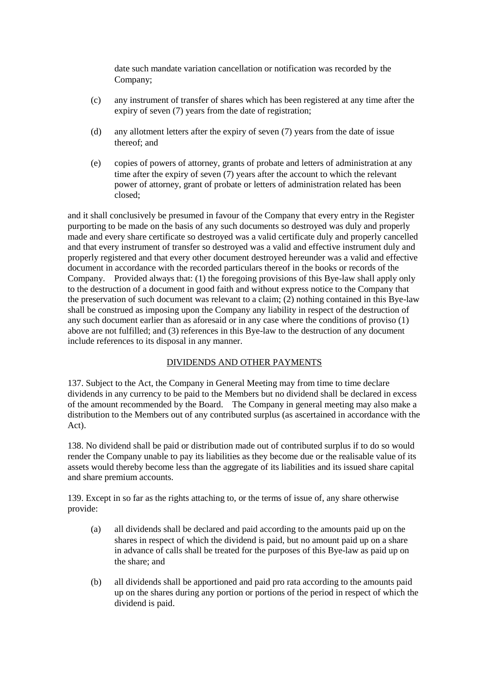date such mandate variation cancellation or notification was recorded by the Company;

- (c) any instrument of transfer of shares which has been registered at any time after the expiry of seven (7) years from the date of registration;
- (d) any allotment letters after the expiry of seven (7) years from the date of issue thereof; and
- (e) copies of powers of attorney, grants of probate and letters of administration at any time after the expiry of seven (7) years after the account to which the relevant power of attorney, grant of probate or letters of administration related has been closed;

and it shall conclusively be presumed in favour of the Company that every entry in the Register purporting to be made on the basis of any such documents so destroyed was duly and properly made and every share certificate so destroyed was a valid certificate duly and properly cancelled and that every instrument of transfer so destroyed was a valid and effective instrument duly and properly registered and that every other document destroyed hereunder was a valid and effective document in accordance with the recorded particulars thereof in the books or records of the Company. Provided always that: (1) the foregoing provisions of this Bye-law shall apply only to the destruction of a document in good faith and without express notice to the Company that the preservation of such document was relevant to a claim; (2) nothing contained in this Bye-law shall be construed as imposing upon the Company any liability in respect of the destruction of any such document earlier than as aforesaid or in any case where the conditions of proviso (1) above are not fulfilled; and (3) references in this Bye-law to the destruction of any document include references to its disposal in any manner.

## DIVIDENDS AND OTHER PAYMENTS

137. Subject to the Act, the Company in General Meeting may from time to time declare dividends in any currency to be paid to the Members but no dividend shall be declared in excess of the amount recommended by the Board. The Company in general meeting may also make a distribution to the Members out of any contributed surplus (as ascertained in accordance with the Act).

138. No dividend shall be paid or distribution made out of contributed surplus if to do so would render the Company unable to pay its liabilities as they become due or the realisable value of its assets would thereby become less than the aggregate of its liabilities and its issued share capital and share premium accounts.

139. Except in so far as the rights attaching to, or the terms of issue of, any share otherwise provide:

- (a) all dividends shall be declared and paid according to the amounts paid up on the shares in respect of which the dividend is paid, but no amount paid up on a share in advance of calls shall be treated for the purposes of this Bye-law as paid up on the share; and
- (b) all dividends shall be apportioned and paid pro rata according to the amounts paid up on the shares during any portion or portions of the period in respect of which the dividend is paid.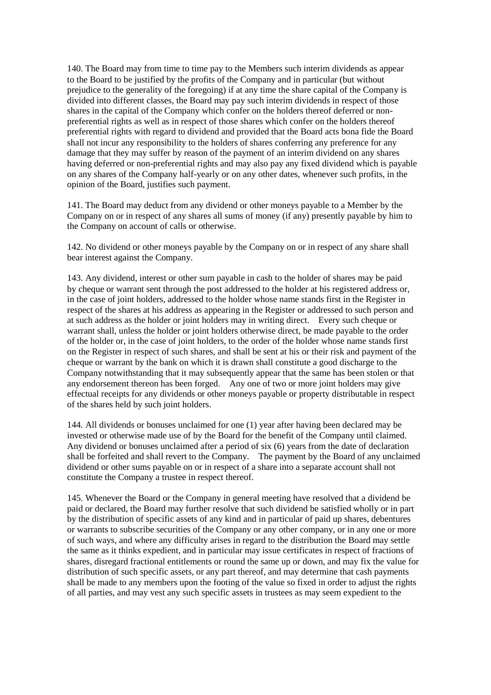140. The Board may from time to time pay to the Members such interim dividends as appear to the Board to be justified by the profits of the Company and in particular (but without prejudice to the generality of the foregoing) if at any time the share capital of the Company is divided into different classes, the Board may pay such interim dividends in respect of those shares in the capital of the Company which confer on the holders thereof deferred or nonpreferential rights as well as in respect of those shares which confer on the holders thereof preferential rights with regard to dividend and provided that the Board acts bona fide the Board shall not incur any responsibility to the holders of shares conferring any preference for any damage that they may suffer by reason of the payment of an interim dividend on any shares having deferred or non-preferential rights and may also pay any fixed dividend which is payable on any shares of the Company half-yearly or on any other dates, whenever such profits, in the opinion of the Board, justifies such payment.

141. The Board may deduct from any dividend or other moneys payable to a Member by the Company on or in respect of any shares all sums of money (if any) presently payable by him to the Company on account of calls or otherwise.

142. No dividend or other moneys payable by the Company on or in respect of any share shall bear interest against the Company.

143. Any dividend, interest or other sum payable in cash to the holder of shares may be paid by cheque or warrant sent through the post addressed to the holder at his registered address or, in the case of joint holders, addressed to the holder whose name stands first in the Register in respect of the shares at his address as appearing in the Register or addressed to such person and at such address as the holder or joint holders may in writing direct. Every such cheque or warrant shall, unless the holder or joint holders otherwise direct, be made payable to the order of the holder or, in the case of joint holders, to the order of the holder whose name stands first on the Register in respect of such shares, and shall be sent at his or their risk and payment of the cheque or warrant by the bank on which it is drawn shall constitute a good discharge to the Company notwithstanding that it may subsequently appear that the same has been stolen or that any endorsement thereon has been forged. Any one of two or more joint holders may give effectual receipts for any dividends or other moneys payable or property distributable in respect of the shares held by such joint holders.

144. All dividends or bonuses unclaimed for one (1) year after having been declared may be invested or otherwise made use of by the Board for the benefit of the Company until claimed. Any dividend or bonuses unclaimed after a period of six (6) years from the date of declaration shall be forfeited and shall revert to the Company. The payment by the Board of any unclaimed dividend or other sums payable on or in respect of a share into a separate account shall not constitute the Company a trustee in respect thereof.

145. Whenever the Board or the Company in general meeting have resolved that a dividend be paid or declared, the Board may further resolve that such dividend be satisfied wholly or in part by the distribution of specific assets of any kind and in particular of paid up shares, debentures or warrants to subscribe securities of the Company or any other company, or in any one or more of such ways, and where any difficulty arises in regard to the distribution the Board may settle the same as it thinks expedient, and in particular may issue certificates in respect of fractions of shares, disregard fractional entitlements or round the same up or down, and may fix the value for distribution of such specific assets, or any part thereof, and may determine that cash payments shall be made to any members upon the footing of the value so fixed in order to adjust the rights of all parties, and may vest any such specific assets in trustees as may seem expedient to the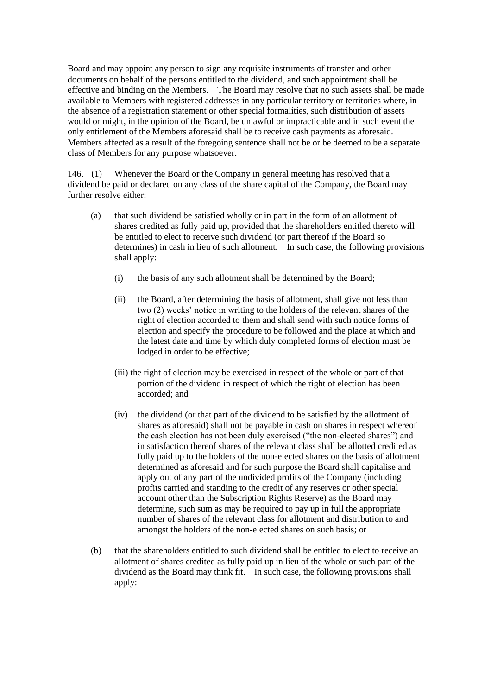Board and may appoint any person to sign any requisite instruments of transfer and other documents on behalf of the persons entitled to the dividend, and such appointment shall be effective and binding on the Members. The Board may resolve that no such assets shall be made available to Members with registered addresses in any particular territory or territories where, in the absence of a registration statement or other special formalities, such distribution of assets would or might, in the opinion of the Board, be unlawful or impracticable and in such event the only entitlement of the Members aforesaid shall be to receive cash payments as aforesaid. Members affected as a result of the foregoing sentence shall not be or be deemed to be a separate class of Members for any purpose whatsoever.

146. (1) Whenever the Board or the Company in general meeting has resolved that a dividend be paid or declared on any class of the share capital of the Company, the Board may further resolve either:

- (a) that such dividend be satisfied wholly or in part in the form of an allotment of shares credited as fully paid up, provided that the shareholders entitled thereto will be entitled to elect to receive such dividend (or part thereof if the Board so determines) in cash in lieu of such allotment. In such case, the following provisions shall apply:
	- (i) the basis of any such allotment shall be determined by the Board;
	- (ii) the Board, after determining the basis of allotment, shall give not less than two (2) weeks' notice in writing to the holders of the relevant shares of the right of election accorded to them and shall send with such notice forms of election and specify the procedure to be followed and the place at which and the latest date and time by which duly completed forms of election must be lodged in order to be effective;
	- (iii) the right of election may be exercised in respect of the whole or part of that portion of the dividend in respect of which the right of election has been accorded; and
	- (iv) the dividend (or that part of the dividend to be satisfied by the allotment of shares as aforesaid) shall not be payable in cash on shares in respect whereof the cash election has not been duly exercised ("the non-elected shares") and in satisfaction thereof shares of the relevant class shall be allotted credited as fully paid up to the holders of the non-elected shares on the basis of allotment determined as aforesaid and for such purpose the Board shall capitalise and apply out of any part of the undivided profits of the Company (including profits carried and standing to the credit of any reserves or other special account other than the Subscription Rights Reserve) as the Board may determine, such sum as may be required to pay up in full the appropriate number of shares of the relevant class for allotment and distribution to and amongst the holders of the non-elected shares on such basis; or
- (b) that the shareholders entitled to such dividend shall be entitled to elect to receive an allotment of shares credited as fully paid up in lieu of the whole or such part of the dividend as the Board may think fit. In such case, the following provisions shall apply: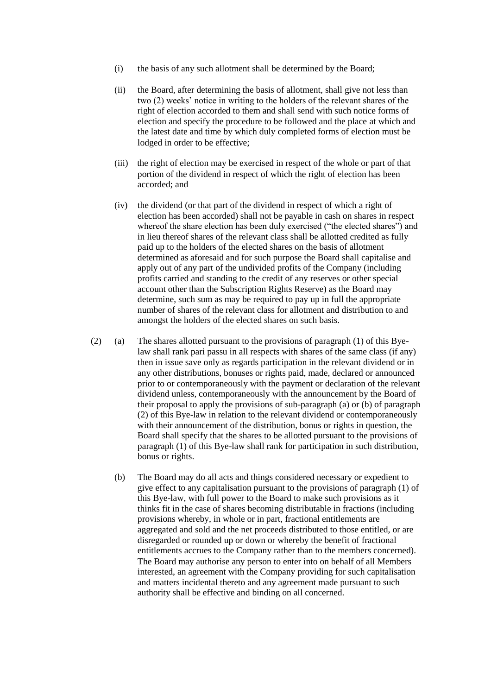- (i) the basis of any such allotment shall be determined by the Board;
- (ii) the Board, after determining the basis of allotment, shall give not less than two (2) weeks' notice in writing to the holders of the relevant shares of the right of election accorded to them and shall send with such notice forms of election and specify the procedure to be followed and the place at which and the latest date and time by which duly completed forms of election must be lodged in order to be effective;
- (iii) the right of election may be exercised in respect of the whole or part of that portion of the dividend in respect of which the right of election has been accorded; and
- (iv) the dividend (or that part of the dividend in respect of which a right of election has been accorded) shall not be payable in cash on shares in respect whereof the share election has been duly exercised ("the elected shares") and in lieu thereof shares of the relevant class shall be allotted credited as fully paid up to the holders of the elected shares on the basis of allotment determined as aforesaid and for such purpose the Board shall capitalise and apply out of any part of the undivided profits of the Company (including profits carried and standing to the credit of any reserves or other special account other than the Subscription Rights Reserve) as the Board may determine, such sum as may be required to pay up in full the appropriate number of shares of the relevant class for allotment and distribution to and amongst the holders of the elected shares on such basis.
- (2) (a) The shares allotted pursuant to the provisions of paragraph (1) of this Byelaw shall rank pari passu in all respects with shares of the same class (if any) then in issue save only as regards participation in the relevant dividend or in any other distributions, bonuses or rights paid, made, declared or announced prior to or contemporaneously with the payment or declaration of the relevant dividend unless, contemporaneously with the announcement by the Board of their proposal to apply the provisions of sub-paragraph (a) or (b) of paragraph (2) of this Bye-law in relation to the relevant dividend or contemporaneously with their announcement of the distribution, bonus or rights in question, the Board shall specify that the shares to be allotted pursuant to the provisions of paragraph (1) of this Bye-law shall rank for participation in such distribution, bonus or rights.
	- (b) The Board may do all acts and things considered necessary or expedient to give effect to any capitalisation pursuant to the provisions of paragraph (1) of this Bye-law, with full power to the Board to make such provisions as it thinks fit in the case of shares becoming distributable in fractions (including provisions whereby, in whole or in part, fractional entitlements are aggregated and sold and the net proceeds distributed to those entitled, or are disregarded or rounded up or down or whereby the benefit of fractional entitlements accrues to the Company rather than to the members concerned). The Board may authorise any person to enter into on behalf of all Members interested, an agreement with the Company providing for such capitalisation and matters incidental thereto and any agreement made pursuant to such authority shall be effective and binding on all concerned.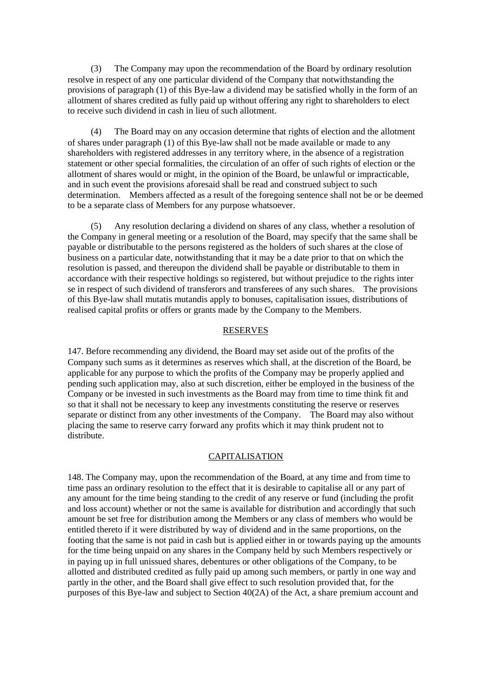(3) The Company may upon the recommendation of the Board by ordinary resolution resolve in respect of any one particular dividend of the Company that notwithstanding the provisions of paragraph (1) of this Bye-law a dividend may be satisfied wholly in the form of an allotment of shares credited as fully paid up without offering any right to shareholders to elect to receive such dividend in cash in lieu of such allotment.

(4) The Board may on any occasion determine that rights of election and the allotment of shares under paragraph (1) of this Bye-law shall not be made available or made to any shareholders with registered addresses in any territory where, in the absence of a registration statement or other special formalities, the circulation of an offer of such rights of election or the allotment of shares would or might, in the opinion of the Board, be unlawful or impracticable, and in such event the provisions aforesaid shall be read and construed subject to such determination. Members affected as a result of the foregoing sentence shall not be or be deemed to be a separate class of Members for any purpose whatsoever.

(5) Any resolution declaring a dividend on shares of any class, whether a resolution of the Company in general meeting or a resolution of the Board, may specify that the same shall be payable or distributable to the persons registered as the holders of such shares at the close of business on a particular date, notwithstanding that it may be a date prior to that on which the resolution is passed, and thereupon the dividend shall be payable or distributable to them in accordance with their respective holdings so registered, but without prejudice to the rights inter se in respect of such dividend of transferors and transferees of any such shares. The provisions of this Bye-law shall mutatis mutandis apply to bonuses, capitalisation issues, distributions of realised capital profits or offers or grants made by the Company to the Members.

#### RESERVES

147. Before recommending any dividend, the Board may set aside out of the profits of the Company such sums as it determines as reserves which shall, at the discretion of the Board, be applicable for any purpose to which the profits of the Company may be properly applied and pending such application may, also at such discretion, either be employed in the business of the Company or be invested in such investments as the Board may from time to time think fit and so that it shall not be necessary to keep any investments constituting the reserve or reserves separate or distinct from any other investments of the Company. The Board may also without placing the same to reserve carry forward any profits which it may think prudent not to distribute.

#### CAPITALISATION

148. The Company may, upon the recommendation of the Board, at any time and from time to time pass an ordinary resolution to the effect that it is desirable to capitalise all or any part of any amount for the time being standing to the credit of any reserve or fund (including the profit and loss account) whether or not the same is available for distribution and accordingly that such amount be set free for distribution among the Members or any class of members who would be entitled thereto if it were distributed by way of dividend and in the same proportions, on the footing that the same is not paid in cash but is applied either in or towards paying up the amounts for the time being unpaid on any shares in the Company held by such Members respectively or in paying up in full unissued shares, debentures or other obligations of the Company, to be allotted and distributed credited as fully paid up among such members, or partly in one way and partly in the other, and the Board shall give effect to such resolution provided that, for the purposes of this Bye-law and subject to Section 40(2A) of the Act, a share premium account and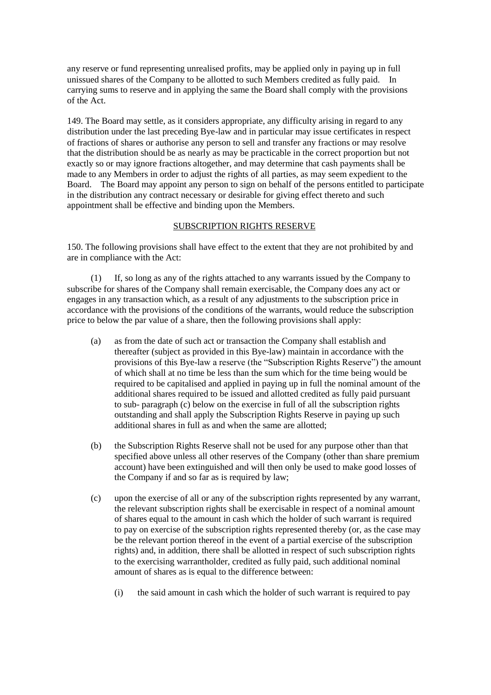any reserve or fund representing unrealised profits, may be applied only in paying up in full unissued shares of the Company to be allotted to such Members credited as fully paid. In carrying sums to reserve and in applying the same the Board shall comply with the provisions of the Act.

149. The Board may settle, as it considers appropriate, any difficulty arising in regard to any distribution under the last preceding Bye-law and in particular may issue certificates in respect of fractions of shares or authorise any person to sell and transfer any fractions or may resolve that the distribution should be as nearly as may be practicable in the correct proportion but not exactly so or may ignore fractions altogether, and may determine that cash payments shall be made to any Members in order to adjust the rights of all parties, as may seem expedient to the Board. The Board may appoint any person to sign on behalf of the persons entitled to participate in the distribution any contract necessary or desirable for giving effect thereto and such appointment shall be effective and binding upon the Members.

## SUBSCRIPTION RIGHTS RESERVE

150. The following provisions shall have effect to the extent that they are not prohibited by and are in compliance with the Act:

(1) If, so long as any of the rights attached to any warrants issued by the Company to subscribe for shares of the Company shall remain exercisable, the Company does any act or engages in any transaction which, as a result of any adjustments to the subscription price in accordance with the provisions of the conditions of the warrants, would reduce the subscription price to below the par value of a share, then the following provisions shall apply:

- (a) as from the date of such act or transaction the Company shall establish and thereafter (subject as provided in this Bye-law) maintain in accordance with the provisions of this Bye-law a reserve (the "Subscription Rights Reserve") the amount of which shall at no time be less than the sum which for the time being would be required to be capitalised and applied in paying up in full the nominal amount of the additional shares required to be issued and allotted credited as fully paid pursuant to sub- paragraph (c) below on the exercise in full of all the subscription rights outstanding and shall apply the Subscription Rights Reserve in paying up such additional shares in full as and when the same are allotted;
- (b) the Subscription Rights Reserve shall not be used for any purpose other than that specified above unless all other reserves of the Company (other than share premium account) have been extinguished and will then only be used to make good losses of the Company if and so far as is required by law;
- (c) upon the exercise of all or any of the subscription rights represented by any warrant, the relevant subscription rights shall be exercisable in respect of a nominal amount of shares equal to the amount in cash which the holder of such warrant is required to pay on exercise of the subscription rights represented thereby (or, as the case may be the relevant portion thereof in the event of a partial exercise of the subscription rights) and, in addition, there shall be allotted in respect of such subscription rights to the exercising warrantholder, credited as fully paid, such additional nominal amount of shares as is equal to the difference between:
	- (i) the said amount in cash which the holder of such warrant is required to pay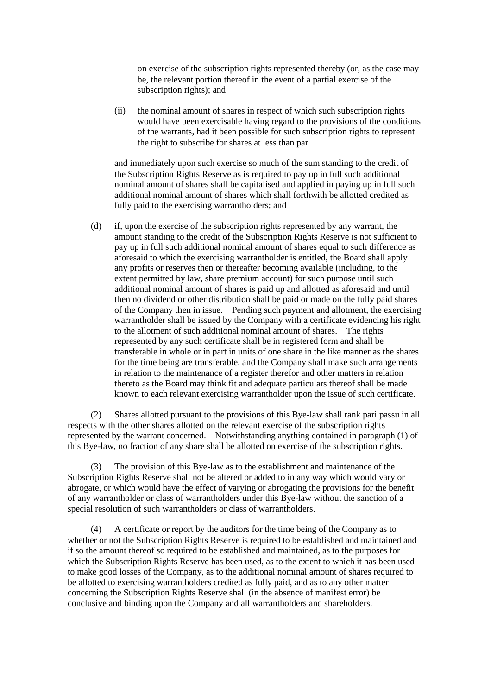on exercise of the subscription rights represented thereby (or, as the case may be, the relevant portion thereof in the event of a partial exercise of the subscription rights); and

(ii) the nominal amount of shares in respect of which such subscription rights would have been exercisable having regard to the provisions of the conditions of the warrants, had it been possible for such subscription rights to represent the right to subscribe for shares at less than par

and immediately upon such exercise so much of the sum standing to the credit of the Subscription Rights Reserve as is required to pay up in full such additional nominal amount of shares shall be capitalised and applied in paying up in full such additional nominal amount of shares which shall forthwith be allotted credited as fully paid to the exercising warrantholders; and

(d) if, upon the exercise of the subscription rights represented by any warrant, the amount standing to the credit of the Subscription Rights Reserve is not sufficient to pay up in full such additional nominal amount of shares equal to such difference as aforesaid to which the exercising warrantholder is entitled, the Board shall apply any profits or reserves then or thereafter becoming available (including, to the extent permitted by law, share premium account) for such purpose until such additional nominal amount of shares is paid up and allotted as aforesaid and until then no dividend or other distribution shall be paid or made on the fully paid shares of the Company then in issue. Pending such payment and allotment, the exercising warrantholder shall be issued by the Company with a certificate evidencing his right to the allotment of such additional nominal amount of shares. The rights represented by any such certificate shall be in registered form and shall be transferable in whole or in part in units of one share in the like manner as the shares for the time being are transferable, and the Company shall make such arrangements in relation to the maintenance of a register therefor and other matters in relation thereto as the Board may think fit and adequate particulars thereof shall be made known to each relevant exercising warrantholder upon the issue of such certificate.

(2) Shares allotted pursuant to the provisions of this Bye-law shall rank pari passu in all respects with the other shares allotted on the relevant exercise of the subscription rights represented by the warrant concerned. Notwithstanding anything contained in paragraph (1) of this Bye-law, no fraction of any share shall be allotted on exercise of the subscription rights.

(3) The provision of this Bye-law as to the establishment and maintenance of the Subscription Rights Reserve shall not be altered or added to in any way which would vary or abrogate, or which would have the effect of varying or abrogating the provisions for the benefit of any warrantholder or class of warrantholders under this Bye-law without the sanction of a special resolution of such warrantholders or class of warrantholders.

(4) A certificate or report by the auditors for the time being of the Company as to whether or not the Subscription Rights Reserve is required to be established and maintained and if so the amount thereof so required to be established and maintained, as to the purposes for which the Subscription Rights Reserve has been used, as to the extent to which it has been used to make good losses of the Company, as to the additional nominal amount of shares required to be allotted to exercising warrantholders credited as fully paid, and as to any other matter concerning the Subscription Rights Reserve shall (in the absence of manifest error) be conclusive and binding upon the Company and all warrantholders and shareholders.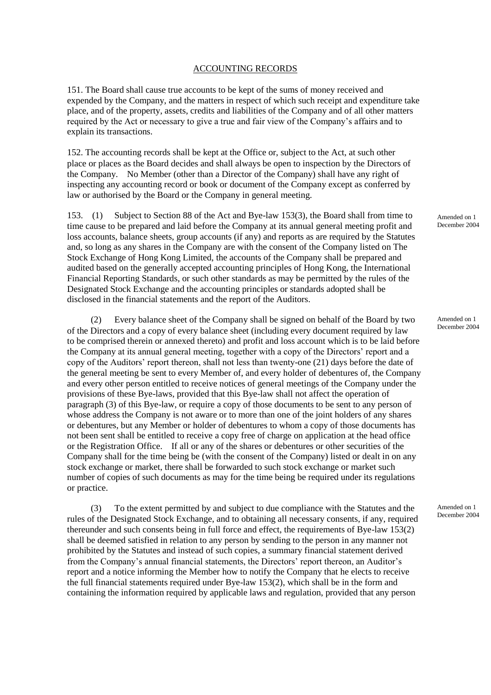#### ACCOUNTING RECORDS

151. The Board shall cause true accounts to be kept of the sums of money received and expended by the Company, and the matters in respect of which such receipt and expenditure take place, and of the property, assets, credits and liabilities of the Company and of all other matters required by the Act or necessary to give a true and fair view of the Company's affairs and to explain its transactions.

152. The accounting records shall be kept at the Office or, subject to the Act, at such other place or places as the Board decides and shall always be open to inspection by the Directors of the Company. No Member (other than a Director of the Company) shall have any right of inspecting any accounting record or book or document of the Company except as conferred by law or authorised by the Board or the Company in general meeting.

153. (1) Subject to Section 88 of the Act and Bye-law 153(3), the Board shall from time to time cause to be prepared and laid before the Company at its annual general meeting profit and loss accounts, balance sheets, group accounts (if any) and reports as are required by the Statutes and, so long as any shares in the Company are with the consent of the Company listed on The Stock Exchange of Hong Kong Limited, the accounts of the Company shall be prepared and audited based on the generally accepted accounting principles of Hong Kong, the International Financial Reporting Standards, or such other standards as may be permitted by the rules of the Designated Stock Exchange and the accounting principles or standards adopted shall be disclosed in the financial statements and the report of the Auditors.

(2) Every balance sheet of the Company shall be signed on behalf of the Board by two of the Directors and a copy of every balance sheet (including every document required by law to be comprised therein or annexed thereto) and profit and loss account which is to be laid before the Company at its annual general meeting, together with a copy of the Directors' report and a copy of the Auditors' report thereon, shall not less than twenty-one (21) days before the date of the general meeting be sent to every Member of, and every holder of debentures of, the Company and every other person entitled to receive notices of general meetings of the Company under the provisions of these Bye-laws, provided that this Bye-law shall not affect the operation of paragraph (3) of this Bye-law, or require a copy of those documents to be sent to any person of whose address the Company is not aware or to more than one of the joint holders of any shares or debentures, but any Member or holder of debentures to whom a copy of those documents has not been sent shall be entitled to receive a copy free of charge on application at the head office or the Registration Office. If all or any of the shares or debentures or other securities of the Company shall for the time being be (with the consent of the Company) listed or dealt in on any stock exchange or market, there shall be forwarded to such stock exchange or market such number of copies of such documents as may for the time being be required under its regulations or practice.

(3) To the extent permitted by and subject to due compliance with the Statutes and the rules of the Designated Stock Exchange, and to obtaining all necessary consents, if any, required thereunder and such consents being in full force and effect, the requirements of Bye-law 153(2) shall be deemed satisfied in relation to any person by sending to the person in any manner not prohibited by the Statutes and instead of such copies, a summary financial statement derived from the Company's annual financial statements, the Directors' report thereon, an Auditor's report and a notice informing the Member how to notify the Company that he elects to receive the full financial statements required under Bye-law 153(2), which shall be in the form and containing the information required by applicable laws and regulation, provided that any person

Amended on 1 December 2004

Amended on 1 December 2004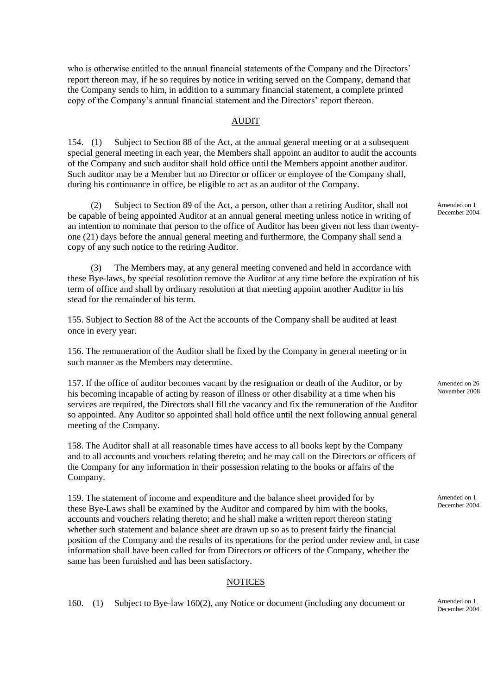who is otherwise entitled to the annual financial statements of the Company and the Directors' report thereon may, if he so requires by notice in writing served on the Company, demand that the Company sends to him, in addition to a summary financial statement, a complete printed copy of the Company's annual financial statement and the Directors' report thereon.

## AUDIT

154. (1) Subject to Section 88 of the Act, at the annual general meeting or at a subsequent special general meeting in each year, the Members shall appoint an auditor to audit the accounts of the Company and such auditor shall hold office until the Members appoint another auditor. Such auditor may be a Member but no Director or officer or employee of the Company shall, during his continuance in office, be eligible to act as an auditor of the Company.

(2) Subject to Section 89 of the Act, a person, other than a retiring Auditor, shall not be capable of being appointed Auditor at an annual general meeting unless notice in writing of an intention to nominate that person to the office of Auditor has been given not less than twentyone (21) days before the annual general meeting and furthermore, the Company shall send a copy of any such notice to the retiring Auditor.

(3) The Members may, at any general meeting convened and held in accordance with these Bye-laws, by special resolution remove the Auditor at any time before the expiration of his term of office and shall by ordinary resolution at that meeting appoint another Auditor in his stead for the remainder of his term.

155. Subject to Section 88 of the Act the accounts of the Company shall be audited at least once in every year.

156. The remuneration of the Auditor shall be fixed by the Company in general meeting or in such manner as the Members may determine.

157. If the office of auditor becomes vacant by the resignation or death of the Auditor, or by his becoming incapable of acting by reason of illness or other disability at a time when his services are required, the Directors shall fill the vacancy and fix the remuneration of the Auditor so appointed. Any Auditor so appointed shall hold office until the next following annual general meeting of the Company.

158. The Auditor shall at all reasonable times have access to all books kept by the Company and to all accounts and vouchers relating thereto; and he may call on the Directors or officers of the Company for any information in their possession relating to the books or affairs of the Company.

159. The statement of income and expenditure and the balance sheet provided for by these Bye-Laws shall be examined by the Auditor and compared by him with the books, accounts and vouchers relating thereto; and he shall make a written report thereon stating whether such statement and balance sheet are drawn up so as to present fairly the financial position of the Company and the results of its operations for the period under review and, in case information shall have been called for from Directors or officers of the Company, whether the same has been furnished and has been satisfactory.

## **NOTICES**

160. (1) Subject to Bye-law 160(2), any Notice or document (including any document or

Amended on 1 December 2004

Amended on 26 November 2008

Amended on 1 December 2004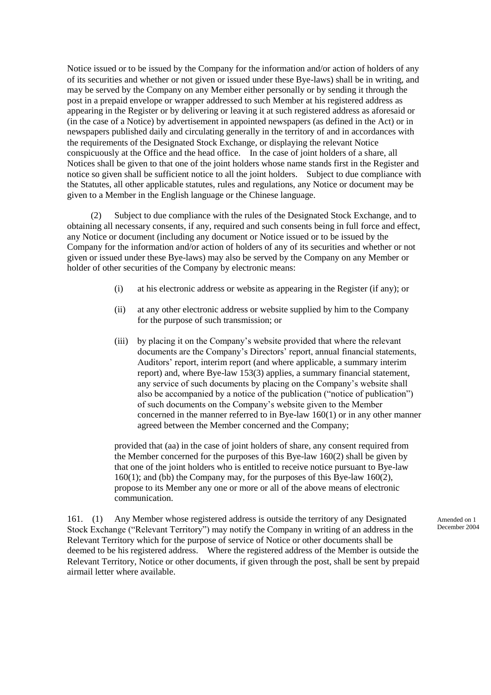Notice issued or to be issued by the Company for the information and/or action of holders of any of its securities and whether or not given or issued under these Bye-laws) shall be in writing, and may be served by the Company on any Member either personally or by sending it through the post in a prepaid envelope or wrapper addressed to such Member at his registered address as appearing in the Register or by delivering or leaving it at such registered address as aforesaid or (in the case of a Notice) by advertisement in appointed newspapers (as defined in the Act) or in newspapers published daily and circulating generally in the territory of and in accordances with the requirements of the Designated Stock Exchange, or displaying the relevant Notice conspicuously at the Office and the head office. In the case of joint holders of a share, all Notices shall be given to that one of the joint holders whose name stands first in the Register and notice so given shall be sufficient notice to all the joint holders. Subject to due compliance with the Statutes, all other applicable statutes, rules and regulations, any Notice or document may be given to a Member in the English language or the Chinese language.

(2) Subject to due compliance with the rules of the Designated Stock Exchange, and to obtaining all necessary consents, if any, required and such consents being in full force and effect, any Notice or document (including any document or Notice issued or to be issued by the Company for the information and/or action of holders of any of its securities and whether or not given or issued under these Bye-laws) may also be served by the Company on any Member or holder of other securities of the Company by electronic means:

- (i) at his electronic address or website as appearing in the Register (if any); or
- (ii) at any other electronic address or website supplied by him to the Company for the purpose of such transmission; or
- (iii) by placing it on the Company's website provided that where the relevant documents are the Company's Directors' report, annual financial statements, Auditors' report, interim report (and where applicable, a summary interim report) and, where Bye-law 153(3) applies, a summary financial statement, any service of such documents by placing on the Company's website shall also be accompanied by a notice of the publication ("notice of publication") of such documents on the Company's website given to the Member concerned in the manner referred to in Bye-law 160(1) or in any other manner agreed between the Member concerned and the Company;

provided that (aa) in the case of joint holders of share, any consent required from the Member concerned for the purposes of this Bye-law 160(2) shall be given by that one of the joint holders who is entitled to receive notice pursuant to Bye-law 160(1); and (bb) the Company may, for the purposes of this Bye-law 160(2), propose to its Member any one or more or all of the above means of electronic communication.

161. (1) Any Member whose registered address is outside the territory of any Designated Stock Exchange ("Relevant Territory") may notify the Company in writing of an address in the Relevant Territory which for the purpose of service of Notice or other documents shall be deemed to be his registered address. Where the registered address of the Member is outside the Relevant Territory, Notice or other documents, if given through the post, shall be sent by prepaid airmail letter where available.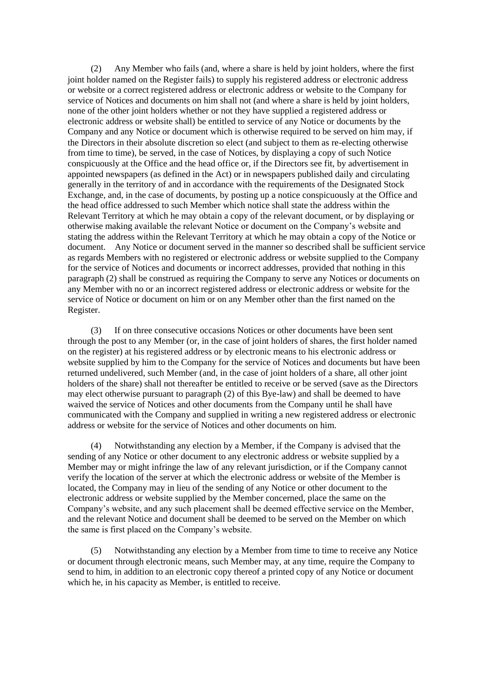(2) Any Member who fails (and, where a share is held by joint holders, where the first joint holder named on the Register fails) to supply his registered address or electronic address or website or a correct registered address or electronic address or website to the Company for service of Notices and documents on him shall not (and where a share is held by joint holders, none of the other joint holders whether or not they have supplied a registered address or electronic address or website shall) be entitled to service of any Notice or documents by the Company and any Notice or document which is otherwise required to be served on him may, if the Directors in their absolute discretion so elect (and subject to them as re-electing otherwise from time to time), be served, in the case of Notices, by displaying a copy of such Notice conspicuously at the Office and the head office or, if the Directors see fit, by advertisement in appointed newspapers (as defined in the Act) or in newspapers published daily and circulating generally in the territory of and in accordance with the requirements of the Designated Stock Exchange, and, in the case of documents, by posting up a notice conspicuously at the Office and the head office addressed to such Member which notice shall state the address within the Relevant Territory at which he may obtain a copy of the relevant document, or by displaying or otherwise making available the relevant Notice or document on the Company's website and stating the address within the Relevant Territory at which he may obtain a copy of the Notice or document. Any Notice or document served in the manner so described shall be sufficient service as regards Members with no registered or electronic address or website supplied to the Company for the service of Notices and documents or incorrect addresses, provided that nothing in this paragraph (2) shall be construed as requiring the Company to serve any Notices or documents on any Member with no or an incorrect registered address or electronic address or website for the service of Notice or document on him or on any Member other than the first named on the Register.

(3) If on three consecutive occasions Notices or other documents have been sent through the post to any Member (or, in the case of joint holders of shares, the first holder named on the register) at his registered address or by electronic means to his electronic address or website supplied by him to the Company for the service of Notices and documents but have been returned undelivered, such Member (and, in the case of joint holders of a share, all other joint holders of the share) shall not thereafter be entitled to receive or be served (save as the Directors may elect otherwise pursuant to paragraph (2) of this Bye-law) and shall be deemed to have waived the service of Notices and other documents from the Company until he shall have communicated with the Company and supplied in writing a new registered address or electronic address or website for the service of Notices and other documents on him.

(4) Notwithstanding any election by a Member, if the Company is advised that the sending of any Notice or other document to any electronic address or website supplied by a Member may or might infringe the law of any relevant jurisdiction, or if the Company cannot verify the location of the server at which the electronic address or website of the Member is located, the Company may in lieu of the sending of any Notice or other document to the electronic address or website supplied by the Member concerned, place the same on the Company's website, and any such placement shall be deemed effective service on the Member, and the relevant Notice and document shall be deemed to be served on the Member on which the same is first placed on the Company's website.

(5) Notwithstanding any election by a Member from time to time to receive any Notice or document through electronic means, such Member may, at any time, require the Company to send to him, in addition to an electronic copy thereof a printed copy of any Notice or document which he, in his capacity as Member, is entitled to receive.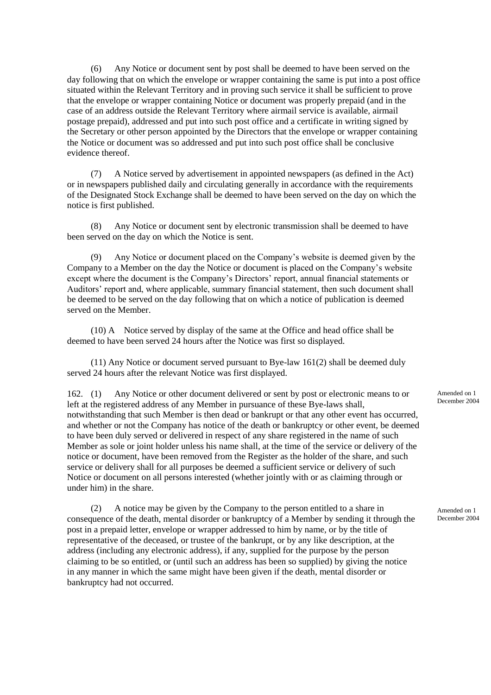(6) Any Notice or document sent by post shall be deemed to have been served on the day following that on which the envelope or wrapper containing the same is put into a post office situated within the Relevant Territory and in proving such service it shall be sufficient to prove that the envelope or wrapper containing Notice or document was properly prepaid (and in the case of an address outside the Relevant Territory where airmail service is available, airmail postage prepaid), addressed and put into such post office and a certificate in writing signed by the Secretary or other person appointed by the Directors that the envelope or wrapper containing the Notice or document was so addressed and put into such post office shall be conclusive evidence thereof.

(7) A Notice served by advertisement in appointed newspapers (as defined in the Act) or in newspapers published daily and circulating generally in accordance with the requirements of the Designated Stock Exchange shall be deemed to have been served on the day on which the notice is first published.

(8) Any Notice or document sent by electronic transmission shall be deemed to have been served on the day on which the Notice is sent.

Any Notice or document placed on the Company's website is deemed given by the Company to a Member on the day the Notice or document is placed on the Company's website except where the document is the Company's Directors' report, annual financial statements or Auditors' report and, where applicable, summary financial statement, then such document shall be deemed to be served on the day following that on which a notice of publication is deemed served on the Member.

(10) A Notice served by display of the same at the Office and head office shall be deemed to have been served 24 hours after the Notice was first so displayed.

(11) Any Notice or document served pursuant to Bye-law 161(2) shall be deemed duly served 24 hours after the relevant Notice was first displayed.

162. (1) Any Notice or other document delivered or sent by post or electronic means to or left at the registered address of any Member in pursuance of these Bye-laws shall, notwithstanding that such Member is then dead or bankrupt or that any other event has occurred, and whether or not the Company has notice of the death or bankruptcy or other event, be deemed to have been duly served or delivered in respect of any share registered in the name of such Member as sole or joint holder unless his name shall, at the time of the service or delivery of the notice or document, have been removed from the Register as the holder of the share, and such service or delivery shall for all purposes be deemed a sufficient service or delivery of such Notice or document on all persons interested (whether jointly with or as claiming through or under him) in the share.

(2) A notice may be given by the Company to the person entitled to a share in consequence of the death, mental disorder or bankruptcy of a Member by sending it through the post in a prepaid letter, envelope or wrapper addressed to him by name, or by the title of representative of the deceased, or trustee of the bankrupt, or by any like description, at the address (including any electronic address), if any, supplied for the purpose by the person claiming to be so entitled, or (until such an address has been so supplied) by giving the notice in any manner in which the same might have been given if the death, mental disorder or bankruptcy had not occurred.

Amended on 1 December 2004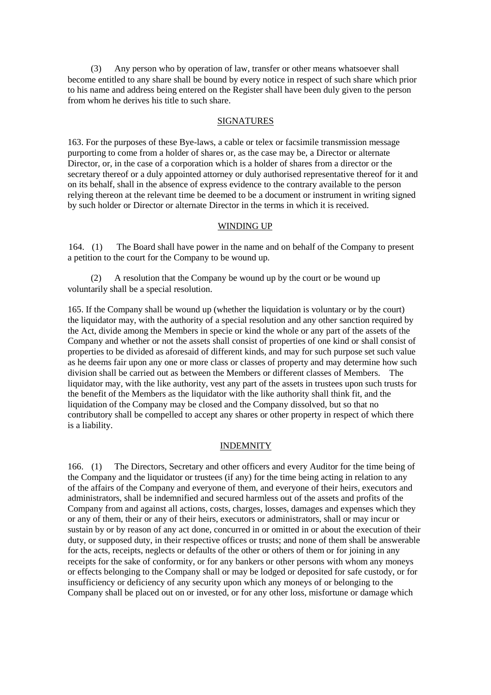(3) Any person who by operation of law, transfer or other means whatsoever shall become entitled to any share shall be bound by every notice in respect of such share which prior to his name and address being entered on the Register shall have been duly given to the person from whom he derives his title to such share.

## SIGNATURES

163. For the purposes of these Bye-laws, a cable or telex or facsimile transmission message purporting to come from a holder of shares or, as the case may be, a Director or alternate Director, or, in the case of a corporation which is a holder of shares from a director or the secretary thereof or a duly appointed attorney or duly authorised representative thereof for it and on its behalf, shall in the absence of express evidence to the contrary available to the person relying thereon at the relevant time be deemed to be a document or instrument in writing signed by such holder or Director or alternate Director in the terms in which it is received.

## WINDING UP

164. (1) The Board shall have power in the name and on behalf of the Company to present a petition to the court for the Company to be wound up.

(2) A resolution that the Company be wound up by the court or be wound up voluntarily shall be a special resolution.

165. If the Company shall be wound up (whether the liquidation is voluntary or by the court) the liquidator may, with the authority of a special resolution and any other sanction required by the Act, divide among the Members in specie or kind the whole or any part of the assets of the Company and whether or not the assets shall consist of properties of one kind or shall consist of properties to be divided as aforesaid of different kinds, and may for such purpose set such value as he deems fair upon any one or more class or classes of property and may determine how such division shall be carried out as between the Members or different classes of Members. The liquidator may, with the like authority, vest any part of the assets in trustees upon such trusts for the benefit of the Members as the liquidator with the like authority shall think fit, and the liquidation of the Company may be closed and the Company dissolved, but so that no contributory shall be compelled to accept any shares or other property in respect of which there is a liability.

## INDEMNITY

166. (1) The Directors, Secretary and other officers and every Auditor for the time being of the Company and the liquidator or trustees (if any) for the time being acting in relation to any of the affairs of the Company and everyone of them, and everyone of their heirs, executors and administrators, shall be indemnified and secured harmless out of the assets and profits of the Company from and against all actions, costs, charges, losses, damages and expenses which they or any of them, their or any of their heirs, executors or administrators, shall or may incur or sustain by or by reason of any act done, concurred in or omitted in or about the execution of their duty, or supposed duty, in their respective offices or trusts; and none of them shall be answerable for the acts, receipts, neglects or defaults of the other or others of them or for joining in any receipts for the sake of conformity, or for any bankers or other persons with whom any moneys or effects belonging to the Company shall or may be lodged or deposited for safe custody, or for insufficiency or deficiency of any security upon which any moneys of or belonging to the Company shall be placed out on or invested, or for any other loss, misfortune or damage which